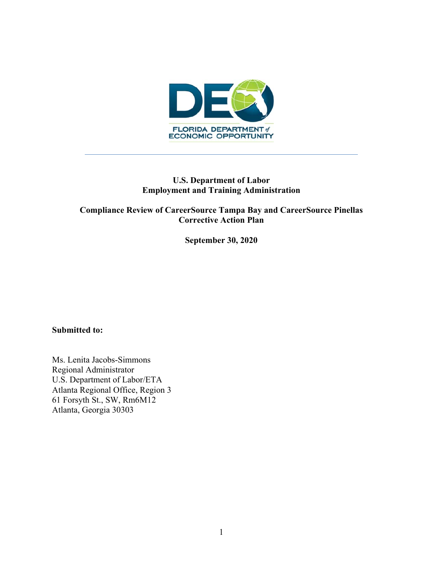

## **U.S. Department of Labor Employment and Training Administration**

## **Compliance Review of CareerSource Tampa Bay and CareerSource Pinellas Corrective Action Plan**

**September 30, 2020** 

#### **Submitted to:**

Ms. Lenita Jacobs-Simmons Regional Administrator U.S. Department of Labor/ETA Atlanta Regional Office, Region 3 61 Forsyth St., SW, Rm6M12 Atlanta, Georgia 30303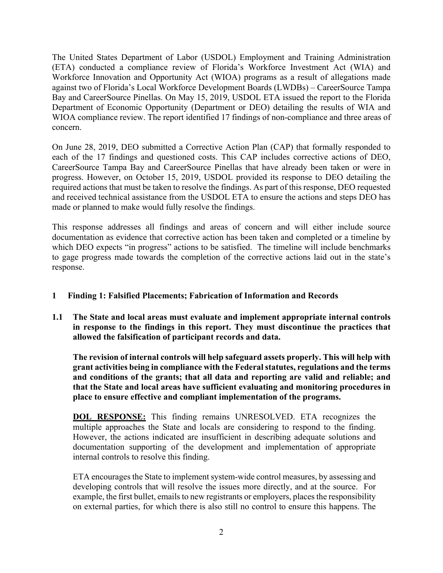The United States Department of Labor (USDOL) Employment and Training Administration (ETA) conducted a compliance review of Florida's Workforce Investment Act (WIA) and Workforce Innovation and Opportunity Act (WIOA) programs as a result of allegations made against two of Florida's Local Workforce Development Boards (LWDBs) – CareerSource Tampa Bay and CareerSource Pinellas. On May 15, 2019, USDOL ETA issued the report to the Florida Department of Economic Opportunity (Department or DEO) detailing the results of WIA and WIOA compliance review. The report identified 17 findings of non-compliance and three areas of concern.

On June 28, 2019, DEO submitted a Corrective Action Plan (CAP) that formally responded to each of the 17 findings and questioned costs. This CAP includes corrective actions of DEO, CareerSource Tampa Bay and CareerSource Pinellas that have already been taken or were in progress. However, on October 15, 2019, USDOL provided its response to DEO detailing the required actions that must be taken to resolve the findings. As part of this response, DEO requested and received technical assistance from the USDOL ETA to ensure the actions and steps DEO has made or planned to make would fully resolve the findings.

This response addresses all findings and areas of concern and will either include source documentation as evidence that corrective action has been taken and completed or a timeline by which DEO expects "in progress" actions to be satisfied. The timeline will include benchmarks to gage progress made towards the completion of the corrective actions laid out in the state's response.

### **1 Finding 1: Falsified Placements; Fabrication of Information and Records**

**1.1 The State and local areas must evaluate and implement appropriate internal controls in response to the findings in this report. They must discontinue the practices that allowed the falsification of participant records and data.** 

**The revision of internal controls will help safeguard assets properly. This will help with grant activities being in compliance with the Federal statutes, regulations and the terms and conditions of the grants; that all data and reporting are valid and reliable; and that the State and local areas have sufficient evaluating and monitoring procedures in place to ensure effective and compliant implementation of the programs.** 

**DOL RESPONSE:** This finding remains UNRESOLVED. ETA recognizes the multiple approaches the State and locals are considering to respond to the finding. However, the actions indicated are insufficient in describing adequate solutions and documentation supporting of the development and implementation of appropriate internal controls to resolve this finding.

ETA encourages the State to implement system-wide control measures, by assessing and developing controls that will resolve the issues more directly, and at the source. For example, the first bullet, emails to new registrants or employers, places the responsibility on external parties, for which there is also still no control to ensure this happens. The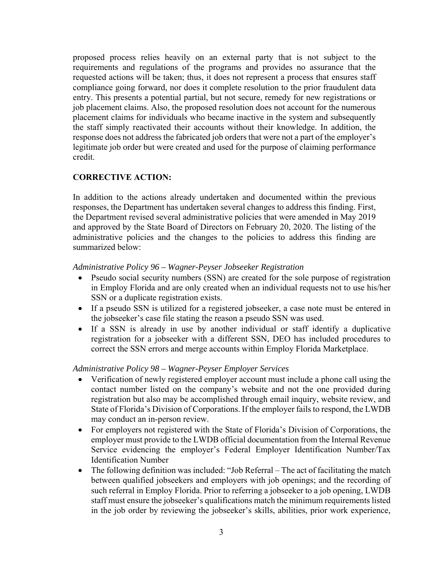proposed process relies heavily on an external party that is not subject to the requirements and regulations of the programs and provides no assurance that the requested actions will be taken; thus, it does not represent a process that ensures staff compliance going forward, nor does it complete resolution to the prior fraudulent data entry. This presents a potential partial, but not secure, remedy for new registrations or job placement claims. Also, the proposed resolution does not account for the numerous placement claims for individuals who became inactive in the system and subsequently the staff simply reactivated their accounts without their knowledge. In addition, the response does not address the fabricated job orders that were not a part of the employer's legitimate job order but were created and used for the purpose of claiming performance credit.

#### **CORRECTIVE ACTION:**

In addition to the actions already undertaken and documented within the previous responses, the Department has undertaken several changes to address this finding. First, the Department revised several administrative policies that were amended in May 2019 and approved by the State Board of Directors on February 20, 2020. The listing of the administrative policies and the changes to the policies to address this finding are summarized below:

#### *Administrative Policy 96 – Wagner-Peyser Jobseeker Registration*

- Pseudo social security numbers (SSN) are created for the sole purpose of registration in Employ Florida and are only created when an individual requests not to use his/her SSN or a duplicate registration exists.
- If a pseudo SSN is utilized for a registered jobseeker, a case note must be entered in the jobseeker's case file stating the reason a pseudo SSN was used.
- If a SSN is already in use by another individual or staff identify a duplicative registration for a jobseeker with a different SSN, DEO has included procedures to correct the SSN errors and merge accounts within Employ Florida Marketplace.

#### *Administrative Policy 98 – Wagner-Peyser Employer Services*

- Verification of newly registered employer account must include a phone call using the contact number listed on the company's website and not the one provided during registration but also may be accomplished through email inquiry, website review, and State of Florida's Division of Corporations. If the employer fails to respond, the LWDB may conduct an in-person review.
- For employers not registered with the State of Florida's Division of Corporations, the employer must provide to the LWDB official documentation from the Internal Revenue Service evidencing the employer's Federal Employer Identification Number/Tax Identification Number
- The following definition was included: "Job Referral The act of facilitating the match between qualified jobseekers and employers with job openings; and the recording of such referral in Employ Florida. Prior to referring a jobseeker to a job opening, LWDB staff must ensure the jobseeker's qualifications match the minimum requirements listed in the job order by reviewing the jobseeker's skills, abilities, prior work experience,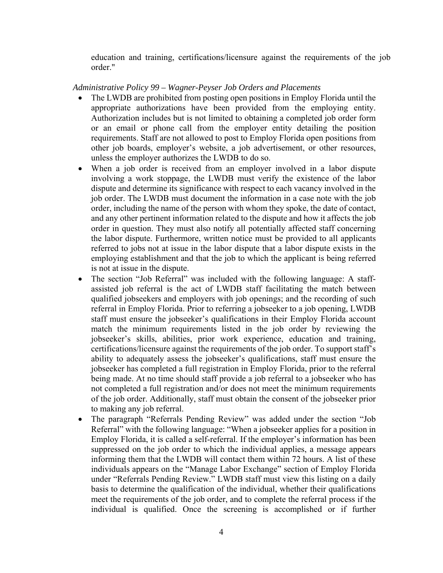education and training, certifications/licensure against the requirements of the job order."

#### *Administrative Policy 99 – Wagner-Peyser Job Orders and Placements*

- The LWDB are prohibited from posting open positions in Employ Florida until the appropriate authorizations have been provided from the employing entity. Authorization includes but is not limited to obtaining a completed job order form or an email or phone call from the employer entity detailing the position requirements. Staff are not allowed to post to Employ Florida open positions from other job boards, employer's website, a job advertisement, or other resources, unless the employer authorizes the LWDB to do so.
- When a job order is received from an employer involved in a labor dispute involving a work stoppage, the LWDB must verify the existence of the labor dispute and determine its significance with respect to each vacancy involved in the job order. The LWDB must document the information in a case note with the job order, including the name of the person with whom they spoke, the date of contact, and any other pertinent information related to the dispute and how it affects the job order in question. They must also notify all potentially affected staff concerning the labor dispute. Furthermore, written notice must be provided to all applicants referred to jobs not at issue in the labor dispute that a labor dispute exists in the employing establishment and that the job to which the applicant is being referred is not at issue in the dispute.
- The section "Job Referral" was included with the following language: A staffassisted job referral is the act of LWDB staff facilitating the match between qualified jobseekers and employers with job openings; and the recording of such referral in Employ Florida. Prior to referring a jobseeker to a job opening, LWDB staff must ensure the jobseeker's qualifications in their Employ Florida account match the minimum requirements listed in the job order by reviewing the jobseeker's skills, abilities, prior work experience, education and training, certifications/licensure against the requirements of the job order. To support staff's ability to adequately assess the jobseeker's qualifications, staff must ensure the jobseeker has completed a full registration in Employ Florida, prior to the referral being made. At no time should staff provide a job referral to a jobseeker who has not completed a full registration and/or does not meet the minimum requirements of the job order. Additionally, staff must obtain the consent of the jobseeker prior to making any job referral.
- The paragraph "Referrals Pending Review" was added under the section "Job Referral" with the following language: "When a jobseeker applies for a position in Employ Florida, it is called a self-referral. If the employer's information has been suppressed on the job order to which the individual applies, a message appears informing them that the LWDB will contact them within 72 hours. A list of these individuals appears on the "Manage Labor Exchange" section of Employ Florida under "Referrals Pending Review." LWDB staff must view this listing on a daily basis to determine the qualification of the individual, whether their qualifications meet the requirements of the job order, and to complete the referral process if the individual is qualified. Once the screening is accomplished or if further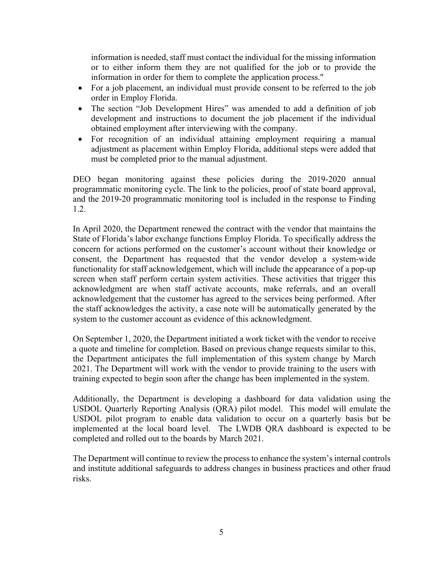information is needed, staff must contact the individual for the missing information or to either inform them they are not qualified for the job or to provide the information in order for them to complete the application process."

- For a job placement, an individual must provide consent to be referred to the job order in Employ Florida.
- The section "Job Development Hires" was amended to add a definition of job development and instructions to document the job placement if the individual obtained employment after interviewing with the company.
- For recognition of an individual attaining employment requiring a manual adjustment as placement within Employ Florida, additional steps were added that must be completed prior to the manual adjustment.

DEO began monitoring against these policies during the 2019-2020 annual programmatic monitoring cycle. The link to the policies, proof of state board approval, and the 2019-20 programmatic monitoring tool is included in the response to Finding 1.2.

In April 2020, the Department renewed the contract with the vendor that maintains the State of Florida's labor exchange functions Employ Florida. To specifically address the concern for actions performed on the customer's account without their knowledge or consent, the Department has requested that the vendor develop a system-wide functionality for staff acknowledgement, which will include the appearance of a pop-up screen when staff perform certain system activities. These activities that trigger this acknowledgment are when staff activate accounts, make referrals, and an overall acknowledgement that the customer has agreed to the services being performed. After the staff acknowledges the activity, a case note will be automatically generated by the system to the customer account as evidence of this acknowledgment.

On September 1, 2020, the Department initiated a work ticket with the vendor to receive a quote and timeline for completion. Based on previous change requests similar to this, the Department anticipates the full implementation of this system change by March 2021. The Department will work with the vendor to provide training to the users with training expected to begin soon after the change has been implemented in the system.

Additionally, the Department is developing a dashboard for data validation using the USDOL Quarterly Reporting Analysis (QRA) pilot model. This model will emulate the USDOL pilot program to enable data validation to occur on a quarterly basis but be implemented at the local board level. The LWDB QRA dashboard is expected to be completed and rolled out to the boards by March 2021.

The Department will continue to review the process to enhance the system's internal controls and institute additional safeguards to address changes in business practices and other fraud risks.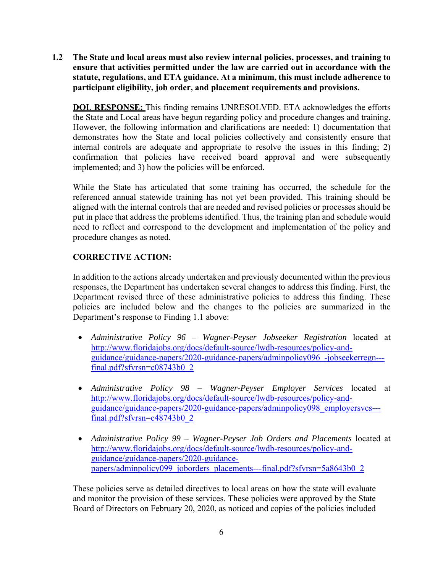**1.2 The State and local areas must also review internal policies, processes, and training to ensure that activities permitted under the law are carried out in accordance with the statute, regulations, and ETA guidance. At a minimum, this must include adherence to participant eligibility, job order, and placement requirements and provisions.** 

**DOL RESPONSE:** This finding remains UNRESOLVED. ETA acknowledges the efforts the State and Local areas have begun regarding policy and procedure changes and training. However, the following information and clarifications are needed: 1) documentation that demonstrates how the State and local policies collectively and consistently ensure that internal controls are adequate and appropriate to resolve the issues in this finding; 2) confirmation that policies have received board approval and were subsequently implemented; and 3) how the policies will be enforced.

While the State has articulated that some training has occurred, the schedule for the referenced annual statewide training has not yet been provided. This training should be aligned with the internal controls that are needed and revised policies or processes should be put in place that address the problems identified. Thus, the training plan and schedule would need to reflect and correspond to the development and implementation of the policy and procedure changes as noted.

# **CORRECTIVE ACTION:**

In addition to the actions already undertaken and previously documented within the previous responses, the Department has undertaken several changes to address this finding. First, the Department revised three of these administrative policies to address this finding. These policies are included below and the changes to the policies are summarized in the Department's response to Finding 1.1 above:

- *Administrative Policy 96 Wagner-Peyser Jobseeker Registration* located at http://www.floridajobs.org/docs/default-source/lwdb-resources/policy-andguidance/guidance-papers/2020-guidance-papers/adminpolicy096\_-jobseekerregn-- final.pdf?sfvrsn=c08743b0\_2
- *Administrative Policy 98 Wagner-Peyser Employer Services* located at http://www.floridajobs.org/docs/default-source/lwdb-resources/policy-andguidance/guidance-papers/2020-guidance-papers/adminpolicy098\_employersvcs-- final.pdf?sfvrsn=c48743b0\_2
- *Administrative Policy 99 Wagner-Peyser Job Orders and Placements* located at http://www.floridajobs.org/docs/default-source/lwdb-resources/policy-andguidance/guidance-papers/2020-guidancepapers/adminpolicy099\_joborders\_placements---final.pdf?sfvrsn=5a8643b0\_2

These policies serve as detailed directives to local areas on how the state will evaluate and monitor the provision of these services. These policies were approved by the State Board of Directors on February 20, 2020, as noticed and copies of the policies included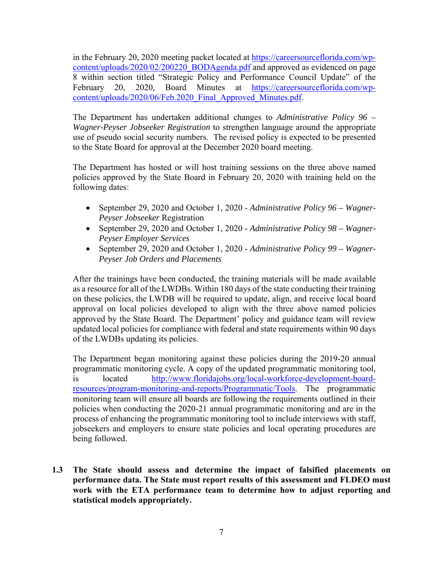in the February 20, 2020 meeting packet located at https://careersourceflorida.com/wpcontent/uploads/2020/02/200220\_BODAgenda.pdf and approved as evidenced on page 8 within section titled "Strategic Policy and Performance Council Update" of the February 20, 2020, Board Minutes at https://careersourceflorida.com/wpcontent/uploads/2020/06/Feb.2020\_Final\_Approved\_Minutes.pdf.

The Department has undertaken additional changes to *Administrative Policy 96 – Wagner-Peyser Jobseeker Registration* to strengthen language around the appropriate use of pseudo social security numbers. The revised policy is expected to be presented to the State Board for approval at the December 2020 board meeting.

The Department has hosted or will host training sessions on the three above named policies approved by the State Board in February 20, 2020 with training held on the following dates:

- September 29, 2020 and October 1, 2020 *Administrative Policy 96 Wagner-Peyser Jobseeker* Registration
- September 29, 2020 and October 1, 2020 *Administrative Policy 98 Wagner-Peyser Employer Services*
- September 29, 2020 and October 1, 2020 *Administrative Policy 99 Wagner-Peyser Job Orders and Placements*

After the trainings have been conducted, the training materials will be made available as a resource for all of the LWDBs. Within 180 days of the state conducting their training on these policies, the LWDB will be required to update, align, and receive local board approval on local policies developed to align with the three above named policies approved by the State Board. The Department' policy and guidance team will review updated local policies for compliance with federal and state requirements within 90 days of the LWDBs updating its policies.

The Department began monitoring against these policies during the 2019-20 annual programmatic monitoring cycle. A copy of the updated programmatic monitoring tool, is located http://www.floridajobs.org/local-workforce-development-boardresources/program-monitoring-and-reports/Programmatic/Tools. The programmatic monitoring team will ensure all boards are following the requirements outlined in their policies when conducting the 2020-21 annual programmatic monitoring and are in the process of enhancing the programmatic monitoring tool to include interviews with staff, jobseekers and employers to ensure state policies and local operating procedures are being followed.

**1.3 The State should assess and determine the impact of falsified placements on performance data. The State must report results of this assessment and FLDEO must work with the ETA performance team to determine how to adjust reporting and statistical models appropriately.**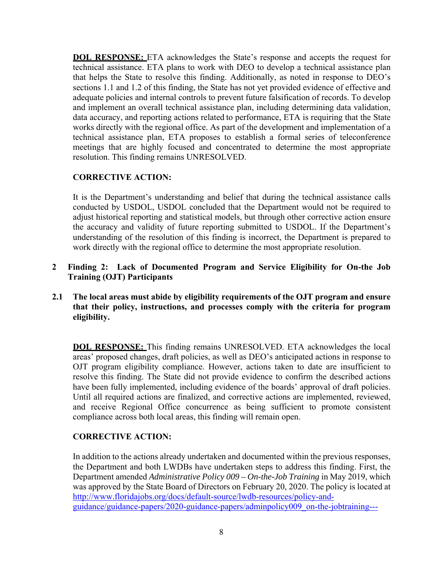**DOL RESPONSE:** ETA acknowledges the State's response and accepts the request for technical assistance. ETA plans to work with DEO to develop a technical assistance plan that helps the State to resolve this finding. Additionally, as noted in response to DEO's sections 1.1 and 1.2 of this finding, the State has not yet provided evidence of effective and adequate policies and internal controls to prevent future falsification of records. To develop and implement an overall technical assistance plan, including determining data validation, data accuracy, and reporting actions related to performance, ETA is requiring that the State works directly with the regional office. As part of the development and implementation of a technical assistance plan, ETA proposes to establish a formal series of teleconference meetings that are highly focused and concentrated to determine the most appropriate resolution. This finding remains UNRESOLVED.

## **CORRECTIVE ACTION:**

It is the Department's understanding and belief that during the technical assistance calls conducted by USDOL, USDOL concluded that the Department would not be required to adjust historical reporting and statistical models, but through other corrective action ensure the accuracy and validity of future reporting submitted to USDOL. If the Department's understanding of the resolution of this finding is incorrect, the Department is prepared to work directly with the regional office to determine the most appropriate resolution.

- **2 Finding 2: Lack of Documented Program and Service Eligibility for On-the Job Training (OJT) Participants**
- **2.1 The local areas must abide by eligibility requirements of the OJT program and ensure that their policy, instructions, and processes comply with the criteria for program eligibility.**

**DOL RESPONSE:** This finding remains UNRESOLVED. ETA acknowledges the local areas' proposed changes, draft policies, as well as DEO's anticipated actions in response to OJT program eligibility compliance. However, actions taken to date are insufficient to resolve this finding. The State did not provide evidence to confirm the described actions have been fully implemented, including evidence of the boards' approval of draft policies. Until all required actions are finalized, and corrective actions are implemented, reviewed, and receive Regional Office concurrence as being sufficient to promote consistent compliance across both local areas, this finding will remain open.

### **CORRECTIVE ACTION:**

In addition to the actions already undertaken and documented within the previous responses, the Department and both LWDBs have undertaken steps to address this finding. First, the Department amended *Administrative Policy 009 – On-the-Job Training* in May 2019, which was approved by the State Board of Directors on February 20, 2020. The policy is located at http://www.floridajobs.org/docs/default-source/lwdb-resources/policy-andguidance/guidance-papers/2020-guidance-papers/adminpolicy009\_on-the-jobtraining---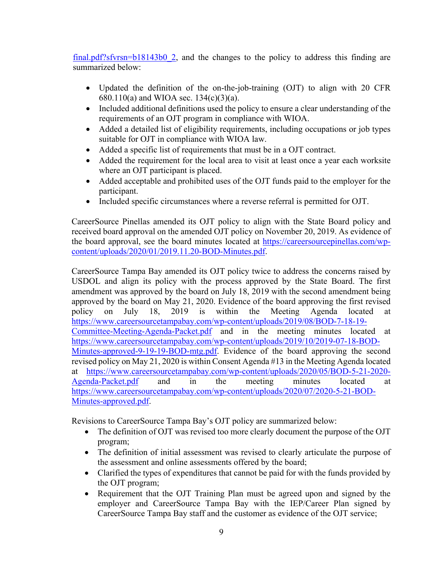$final.pdf?sfvrsn=b18143b02$ , and the changes to the policy to address this finding are summarized below:

- Updated the definition of the on-the-job-training (OJT) to align with 20 CFR 680.110(a) and WIOA sec. 134(c)(3)(a).
- Included additional definitions used the policy to ensure a clear understanding of the requirements of an OJT program in compliance with WIOA.
- Added a detailed list of eligibility requirements, including occupations or job types suitable for OJT in compliance with WIOA law.
- Added a specific list of requirements that must be in a OJT contract.
- Added the requirement for the local area to visit at least once a year each worksite where an OJT participant is placed.
- Added acceptable and prohibited uses of the OJT funds paid to the employer for the participant.
- Included specific circumstances where a reverse referral is permitted for OJT.

CareerSource Pinellas amended its OJT policy to align with the State Board policy and received board approval on the amended OJT policy on November 20, 2019. As evidence of the board approval, see the board minutes located at https://careersourcepinellas.com/wpcontent/uploads/2020/01/2019.11.20-BOD-Minutes.pdf.

CareerSource Tampa Bay amended its OJT policy twice to address the concerns raised by USDOL and align its policy with the process approved by the State Board. The first amendment was approved by the board on July 18, 2019 with the second amendment being approved by the board on May 21, 2020. Evidence of the board approving the first revised policy on July 18, 2019 is within the Meeting Agenda located at https://www.careersourcetampabay.com/wp-content/uploads/2019/08/BOD-7-18-19- Committee-Meeting-Agenda-Packet.pdf and in the meeting minutes located at https://www.careersourcetampabay.com/wp-content/uploads/2019/10/2019-07-18-BOD-Minutes-approved-9-19-19-BOD-mtg.pdf. Evidence of the board approving the second revised policy on May 21, 2020 is within Consent Agenda #13 in the Meeting Agenda located at https://www.careersourcetampabay.com/wp-content/uploads/2020/05/BOD-5-21-2020- Agenda-Packet.pdf and in the meeting minutes located at https://www.careersourcetampabay.com/wp-content/uploads/2020/07/2020-5-21-BOD-Minutes-approved.pdf.

Revisions to CareerSource Tampa Bay's OJT policy are summarized below:

- The definition of OJT was revised too more clearly document the purpose of the OJT program;
- The definition of initial assessment was revised to clearly articulate the purpose of the assessment and online assessments offered by the board;
- Clarified the types of expenditures that cannot be paid for with the funds provided by the OJT program;
- Requirement that the OJT Training Plan must be agreed upon and signed by the employer and CareerSource Tampa Bay with the IEP/Career Plan signed by CareerSource Tampa Bay staff and the customer as evidence of the OJT service;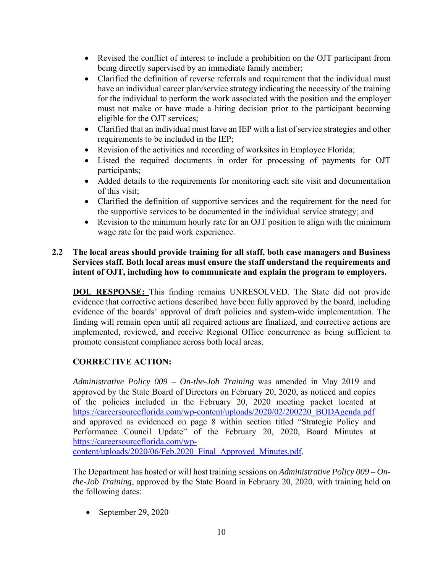- Revised the conflict of interest to include a prohibition on the OJT participant from being directly supervised by an immediate family member;
- Clarified the definition of reverse referrals and requirement that the individual must have an individual career plan/service strategy indicating the necessity of the training for the individual to perform the work associated with the position and the employer must not make or have made a hiring decision prior to the participant becoming eligible for the OJT services;
- Clarified that an individual must have an IEP with a list of service strategies and other requirements to be included in the IEP;
- Revision of the activities and recording of worksites in Employee Florida;
- Listed the required documents in order for processing of payments for OJT participants;
- Added details to the requirements for monitoring each site visit and documentation of this visit;
- Clarified the definition of supportive services and the requirement for the need for the supportive services to be documented in the individual service strategy; and
- Revision to the minimum hourly rate for an OJT position to align with the minimum wage rate for the paid work experience.

#### **2.2 The local areas should provide training for all staff, both case managers and Business Services staff. Both local areas must ensure the staff understand the requirements and intent of OJT, including how to communicate and explain the program to employers.**

**DOL RESPONSE:** This finding remains UNRESOLVED. The State did not provide evidence that corrective actions described have been fully approved by the board, including evidence of the boards' approval of draft policies and system-wide implementation. The finding will remain open until all required actions are finalized, and corrective actions are implemented, reviewed, and receive Regional Office concurrence as being sufficient to promote consistent compliance across both local areas.

# **CORRECTIVE ACTION:**

*Administrative Policy 009 – On-the-Job Training* was amended in May 2019 and approved by the State Board of Directors on February 20, 2020, as noticed and copies of the policies included in the February 20, 2020 meeting packet located at https://careersourceflorida.com/wp-content/uploads/2020/02/200220\_BODAgenda.pdf and approved as evidenced on page 8 within section titled "Strategic Policy and Performance Council Update" of the February 20, 2020, Board Minutes at https://careersourceflorida.com/wp-

content/uploads/2020/06/Feb.2020\_Final\_Approved\_Minutes.pdf.

The Department has hosted or will host training sessions on *Administrative Policy 009 – Onthe-Job Training*, approved by the State Board in February 20, 2020, with training held on the following dates:

 $\bullet$  September 29, 2020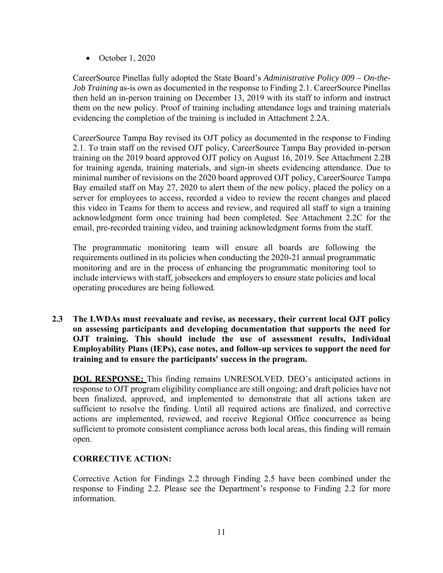$\bullet$  October 1, 2020

CareerSource Pinellas fully adopted the State Board's *Administrative Policy 009 – On-the-Job Training* as-is own as documented in the response to Finding 2.1. CareerSource Pinellas then held an in-person training on December 13, 2019 with its staff to inform and instruct them on the new policy. Proof of training including attendance logs and training materials evidencing the completion of the training is included in Attachment 2.2A.

CareerSource Tampa Bay revised its OJT policy as documented in the response to Finding 2.1. To train staff on the revised OJT policy, CareerSource Tampa Bay provided in-person training on the 2019 board approved OJT policy on August 16, 2019. See Attachment 2.2B for training agenda, training materials, and sign-in sheets evidencing attendance. Due to minimal number of revisions on the 2020 board approved OJT policy, CareerSource Tampa Bay emailed staff on May 27, 2020 to alert them of the new policy, placed the policy on a server for employees to access, recorded a video to review the recent changes and placed this video in Teams for them to access and review, and required all staff to sign a training acknowledgment form once training had been completed. See Attachment 2.2C for the email, pre-recorded training video, and training acknowledgment forms from the staff.

The programmatic monitoring team will ensure all boards are following the requirements outlined in its policies when conducting the 2020-21 annual programmatic monitoring and are in the process of enhancing the programmatic monitoring tool to include interviews with staff, jobseekers and employers to ensure state policies and local operating procedures are being followed.

**2.3 The LWDAs must reevaluate and revise, as necessary, their current local OJT policy on assessing participants and developing documentation that supports the need for OJT training. This should include the use of assessment results, Individual Employability Plans (IEPs), case notes, and follow-up services to support the need for training and to ensure the participants' success in the program.** 

**DOL RESPONSE:** This finding remains UNRESOLVED. DEO's anticipated actions in response to OJT program eligibility compliance are still ongoing; and draft policies have not been finalized, approved, and implemented to demonstrate that all actions taken are sufficient to resolve the finding. Until all required actions are finalized, and corrective actions are implemented, reviewed, and receive Regional Office concurrence as being sufficient to promote consistent compliance across both local areas, this finding will remain open.

### **CORRECTIVE ACTION:**

Corrective Action for Findings 2.2 through Finding 2.5 have been combined under the response to Finding 2.2. Please see the Department's response to Finding 2.2 for more information.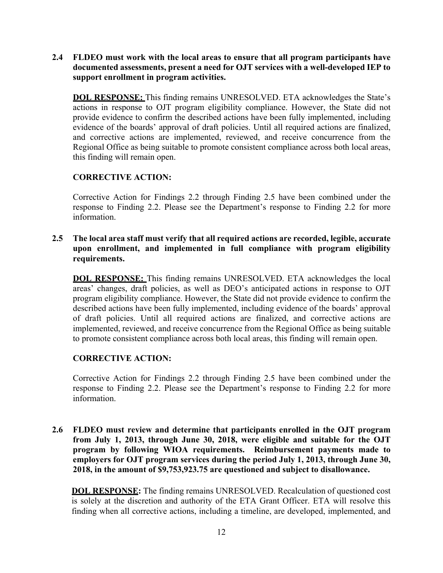**2.4 FLDEO must work with the local areas to ensure that all program participants have documented assessments, present a need for OJT services with a well-developed IEP to support enrollment in program activities.** 

**DOL RESPONSE:** This finding remains UNRESOLVED. ETA acknowledges the State's actions in response to OJT program eligibility compliance. However, the State did not provide evidence to confirm the described actions have been fully implemented, including evidence of the boards' approval of draft policies. Until all required actions are finalized, and corrective actions are implemented, reviewed, and receive concurrence from the Regional Office as being suitable to promote consistent compliance across both local areas, this finding will remain open.

### **CORRECTIVE ACTION:**

Corrective Action for Findings 2.2 through Finding 2.5 have been combined under the response to Finding 2.2. Please see the Department's response to Finding 2.2 for more information.

#### **2.5 The local area staff must verify that all required actions are recorded, legible, accurate upon enrollment, and implemented in full compliance with program eligibility requirements.**

**DOL RESPONSE:** This finding remains UNRESOLVED. ETA acknowledges the local areas' changes, draft policies, as well as DEO's anticipated actions in response to OJT program eligibility compliance. However, the State did not provide evidence to confirm the described actions have been fully implemented, including evidence of the boards' approval of draft policies. Until all required actions are finalized, and corrective actions are implemented, reviewed, and receive concurrence from the Regional Office as being suitable to promote consistent compliance across both local areas, this finding will remain open.

### **CORRECTIVE ACTION:**

Corrective Action for Findings 2.2 through Finding 2.5 have been combined under the response to Finding 2.2. Please see the Department's response to Finding 2.2 for more information.

**2.6 FLDEO must review and determine that participants enrolled in the OJT program from July 1, 2013, through June 30, 2018, were eligible and suitable for the OJT program by following WIOA requirements. Reimbursement payments made to employers for OJT program services during the period July 1, 2013, through June 30, 2018, in the amount of \$9,753,923.75 are questioned and subject to disallowance.** 

**DOL RESPONSE:** The finding remains UNRESOLVED. Recalculation of questioned cost is solely at the discretion and authority of the ETA Grant Officer. ETA will resolve this finding when all corrective actions, including a timeline, are developed, implemented, and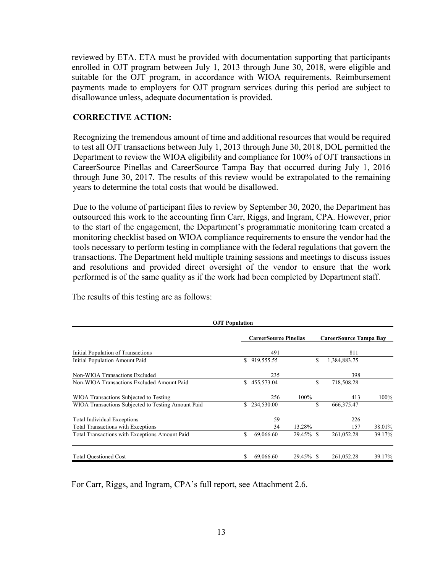reviewed by ETA. ETA must be provided with documentation supporting that participants enrolled in OJT program between July 1, 2013 through June 30, 2018, were eligible and suitable for the OJT program, in accordance with WIOA requirements. Reimbursement payments made to employers for OJT program services during this period are subject to disallowance unless, adequate documentation is provided.

#### **CORRECTIVE ACTION:**

Recognizing the tremendous amount of time and additional resources that would be required to test all OJT transactions between July 1, 2013 through June 30, 2018, DOL permitted the Department to review the WIOA eligibility and compliance for 100% of OJT transactions in CareerSource Pinellas and CareerSource Tampa Bay that occurred during July 1, 2016 through June 30, 2017. The results of this review would be extrapolated to the remaining years to determine the total costs that would be disallowed.

Due to the volume of participant files to review by September 30, 2020, the Department has outsourced this work to the accounting firm Carr, Riggs, and Ingram, CPA. However, prior to the start of the engagement, the Department's programmatic monitoring team created a monitoring checklist based on WIOA compliance requirements to ensure the vendor had the tools necessary to perform testing in compliance with the federal regulations that govern the transactions. The Department held multiple training sessions and meetings to discuss issues and resolutions and provided direct oversight of the vendor to ensure that the work performed is of the same quality as if the work had been completed by Department staff.

| <b>OJT</b> Population        |            |                                                  |                        |              |                         |  |  |  |  |  |  |
|------------------------------|------------|--------------------------------------------------|------------------------|--------------|-------------------------|--|--|--|--|--|--|
| <b>CareerSource Pinellas</b> |            |                                                  | CareerSource Tampa Bay |              |                         |  |  |  |  |  |  |
|                              | 491        |                                                  |                        | 811          |                         |  |  |  |  |  |  |
|                              | 919,555.55 |                                                  | \$                     | 1,384,883.75 |                         |  |  |  |  |  |  |
|                              | 235        |                                                  |                        | 398          |                         |  |  |  |  |  |  |
|                              |            |                                                  | \$                     | 718,508.28   |                         |  |  |  |  |  |  |
|                              | 256        | 100%                                             |                        | 413          | 100%                    |  |  |  |  |  |  |
|                              | 234,530.00 |                                                  | \$                     | 666, 375. 47 |                         |  |  |  |  |  |  |
|                              | 59         |                                                  |                        | 226          |                         |  |  |  |  |  |  |
|                              | 34         | 13.28%                                           |                        | 157          | 38.01%                  |  |  |  |  |  |  |
|                              | 69,066.60  |                                                  |                        | 261,052.28   | 39.17%                  |  |  |  |  |  |  |
|                              |            |                                                  |                        |              | 39.17%                  |  |  |  |  |  |  |
|                              |            | \$<br>\$455,573.04<br>S<br>\$<br>\$<br>69,066.60 |                        | 29.45% \$    | 29.45% \$<br>261,052.28 |  |  |  |  |  |  |

The results of this testing are as follows:

For Carr, Riggs, and Ingram, CPA's full report, see Attachment 2.6.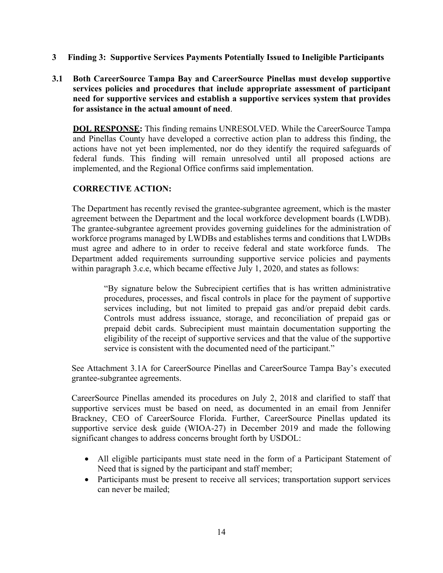- **3 Finding 3: Supportive Services Payments Potentially Issued to Ineligible Participants**
- **3.1 Both CareerSource Tampa Bay and CareerSource Pinellas must develop supportive services policies and procedures that include appropriate assessment of participant need for supportive services and establish a supportive services system that provides for assistance in the actual amount of need**.

**DOL RESPONSE:** This finding remains UNRESOLVED. While the CareerSource Tampa and Pinellas County have developed a corrective action plan to address this finding, the actions have not yet been implemented, nor do they identify the required safeguards of federal funds. This finding will remain unresolved until all proposed actions are implemented, and the Regional Office confirms said implementation.

### **CORRECTIVE ACTION:**

The Department has recently revised the grantee-subgrantee agreement, which is the master agreement between the Department and the local workforce development boards (LWDB). The grantee-subgrantee agreement provides governing guidelines for the administration of workforce programs managed by LWDBs and establishes terms and conditions that LWDBs must agree and adhere to in order to receive federal and state workforce funds. The Department added requirements surrounding supportive service policies and payments within paragraph 3.c.e, which became effective July 1, 2020, and states as follows:

> "By signature below the Subrecipient certifies that is has written administrative procedures, processes, and fiscal controls in place for the payment of supportive services including, but not limited to prepaid gas and/or prepaid debit cards. Controls must address issuance, storage, and reconciliation of prepaid gas or prepaid debit cards. Subrecipient must maintain documentation supporting the eligibility of the receipt of supportive services and that the value of the supportive service is consistent with the documented need of the participant."

See Attachment 3.1A for CareerSource Pinellas and CareerSource Tampa Bay's executed grantee-subgrantee agreements.

CareerSource Pinellas amended its procedures on July 2, 2018 and clarified to staff that supportive services must be based on need, as documented in an email from Jennifer Brackney, CEO of CareerSource Florida. Further, CareerSource Pinellas updated its supportive service desk guide (WIOA-27) in December 2019 and made the following significant changes to address concerns brought forth by USDOL:

- All eligible participants must state need in the form of a Participant Statement of Need that is signed by the participant and staff member;
- Participants must be present to receive all services; transportation support services can never be mailed;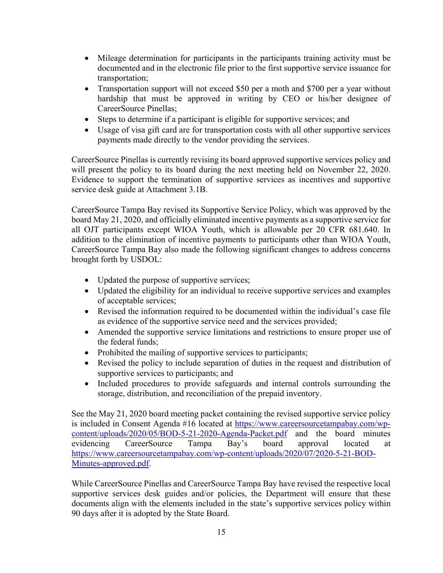- Mileage determination for participants in the participants training activity must be documented and in the electronic file prior to the first supportive service issuance for transportation;
- Transportation support will not exceed \$50 per a moth and \$700 per a year without hardship that must be approved in writing by CEO or his/her designee of CareerSource Pinellas;
- Steps to determine if a participant is eligible for supportive services; and
- Usage of visa gift card are for transportation costs with all other supportive services payments made directly to the vendor providing the services.

CareerSource Pinellas is currently revising its board approved supportive services policy and will present the policy to its board during the next meeting held on November 22, 2020. Evidence to support the termination of supportive services as incentives and supportive service desk guide at Attachment 3.1B.

CareerSource Tampa Bay revised its Supportive Service Policy, which was approved by the board May 21, 2020, and officially eliminated incentive payments as a supportive service for all OJT participants except WIOA Youth, which is allowable per 20 CFR 681.640. In addition to the elimination of incentive payments to participants other than WIOA Youth, CareerSource Tampa Bay also made the following significant changes to address concerns brought forth by USDOL:

- Updated the purpose of supportive services;
- Updated the eligibility for an individual to receive supportive services and examples of acceptable services;
- Revised the information required to be documented within the individual's case file as evidence of the supportive service need and the services provided;
- Amended the supportive service limitations and restrictions to ensure proper use of the federal funds;
- Prohibited the mailing of supportive services to participants;
- Revised the policy to include separation of duties in the request and distribution of supportive services to participants; and
- Included procedures to provide safeguards and internal controls surrounding the storage, distribution, and reconciliation of the prepaid inventory.

See the May 21, 2020 board meeting packet containing the revised supportive service policy is included in Consent Agenda #16 located at https://www.careersourcetampabay.com/wpcontent/uploads/2020/05/BOD-5-21-2020-Agenda-Packet.pdf and the board minutes evidencing CareerSource Tampa Bay's board approval located at https://www.careersourcetampabay.com/wp-content/uploads/2020/07/2020-5-21-BOD-Minutes-approved.pdf.

While CareerSource Pinellas and CareerSource Tampa Bay have revised the respective local supportive services desk guides and/or policies, the Department will ensure that these documents align with the elements included in the state's supportive services policy within 90 days after it is adopted by the State Board.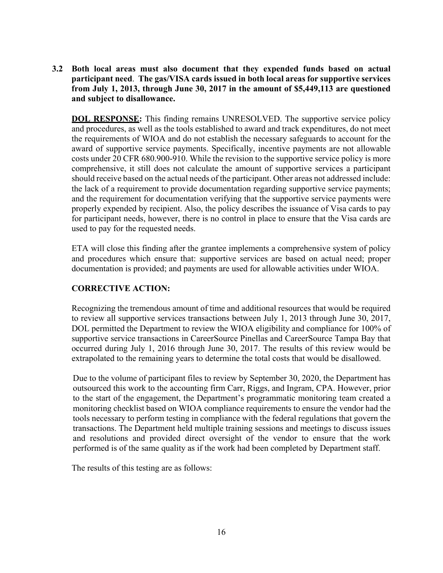**3.2 Both local areas must also document that they expended funds based on actual participant need**. **The gas/VISA cards issued in both local areas for supportive services from July 1, 2013, through June 30, 2017 in the amount of \$5,449,113 are questioned and subject to disallowance.** 

**DOL RESPONSE:** This finding remains UNRESOLVED. The supportive service policy and procedures, as well as the tools established to award and track expenditures, do not meet the requirements of WIOA and do not establish the necessary safeguards to account for the award of supportive service payments. Specifically, incentive payments are not allowable costs under 20 CFR 680.900-910. While the revision to the supportive service policy is more comprehensive, it still does not calculate the amount of supportive services a participant should receive based on the actual needs of the participant. Other areas not addressed include: the lack of a requirement to provide documentation regarding supportive service payments; and the requirement for documentation verifying that the supportive service payments were properly expended by recipient. Also, the policy describes the issuance of Visa cards to pay for participant needs, however, there is no control in place to ensure that the Visa cards are used to pay for the requested needs.

ETA will close this finding after the grantee implements a comprehensive system of policy and procedures which ensure that: supportive services are based on actual need; proper documentation is provided; and payments are used for allowable activities under WIOA.

#### **CORRECTIVE ACTION:**

Recognizing the tremendous amount of time and additional resources that would be required to review all supportive services transactions between July 1, 2013 through June 30, 2017, DOL permitted the Department to review the WIOA eligibility and compliance for 100% of supportive service transactions in CareerSource Pinellas and CareerSource Tampa Bay that occurred during July 1, 2016 through June 30, 2017. The results of this review would be extrapolated to the remaining years to determine the total costs that would be disallowed.

Due to the volume of participant files to review by September 30, 2020, the Department has outsourced this work to the accounting firm Carr, Riggs, and Ingram, CPA. However, prior to the start of the engagement, the Department's programmatic monitoring team created a monitoring checklist based on WIOA compliance requirements to ensure the vendor had the tools necessary to perform testing in compliance with the federal regulations that govern the transactions. The Department held multiple training sessions and meetings to discuss issues and resolutions and provided direct oversight of the vendor to ensure that the work performed is of the same quality as if the work had been completed by Department staff.

The results of this testing are as follows: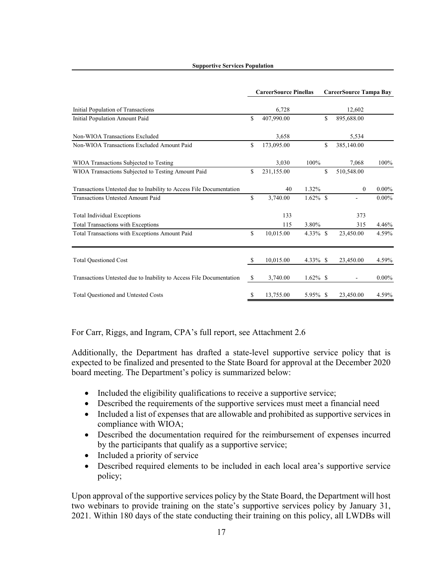#### **Supportive Services Population**

|                                                                     | <b>CareerSource Pinellas</b> |            |             | <b>CareerSource Tampa Bay</b> |              |          |
|---------------------------------------------------------------------|------------------------------|------------|-------------|-------------------------------|--------------|----------|
| Initial Population of Transactions                                  |                              | 6,728      |             |                               | 12,602       |          |
| Initial Population Amount Paid                                      | \$                           | 407,990.00 |             | \$                            | 895,688.00   |          |
| Non-WIOA Transactions Excluded                                      |                              | 3,658      |             |                               | 5,534        |          |
| Non-WIOA Transactions Excluded Amount Paid                          | \$                           | 173,095.00 |             | \$                            | 385,140.00   |          |
| WIOA Transactions Subjected to Testing                              |                              | 3.030      | 100%        |                               | 7.068        | 100%     |
| WIOA Transactions Subjected to Testing Amount Paid                  | \$                           | 231,155.00 |             | \$                            | 510,548.00   |          |
| Transactions Untested due to Inability to Access File Documentation |                              | 40         | 1.32%       |                               | $\mathbf{0}$ | $0.00\%$ |
| Transactions Untested Amount Paid                                   | \$                           | 3,740.00   | $1.62\%$ \$ |                               |              | $0.00\%$ |
| Total Individual Exceptions                                         |                              | 133        |             |                               | 373          |          |
| Total Transactions with Exceptions                                  |                              | 115        | 3.80%       |                               | 315          | 4.46%    |
| Total Transactions with Exceptions Amount Paid                      | \$                           | 10,015.00  | $4.33\%$ \$ |                               | 23,450.00    | 4.59%    |
| <b>Total Questioned Cost</b>                                        | \$                           | 10,015.00  | $4.33\%$ \$ |                               | 23,450.00    | 4.59%    |
|                                                                     |                              |            |             |                               |              |          |
| Transactions Untested due to Inability to Access File Documentation | \$                           | 3,740.00   | $1.62\%$ \$ |                               |              | $0.00\%$ |
| Total Questioned and Untested Costs                                 | \$                           | 13,755.00  | 5.95% \$    |                               | 23,450.00    | 4.59%    |

For Carr, Riggs, and Ingram, CPA's full report, see Attachment 2.6

Additionally, the Department has drafted a state-level supportive service policy that is expected to be finalized and presented to the State Board for approval at the December 2020 board meeting. The Department's policy is summarized below:

- Included the eligibility qualifications to receive a supportive service;
- Described the requirements of the supportive services must meet a financial need
- Included a list of expenses that are allowable and prohibited as supportive services in compliance with WIOA;
- Described the documentation required for the reimbursement of expenses incurred by the participants that qualify as a supportive service;
- Included a priority of service
- Described required elements to be included in each local area's supportive service policy;

Upon approval of the supportive services policy by the State Board, the Department will host two webinars to provide training on the state's supportive services policy by January 31, 2021. Within 180 days of the state conducting their training on this policy, all LWDBs will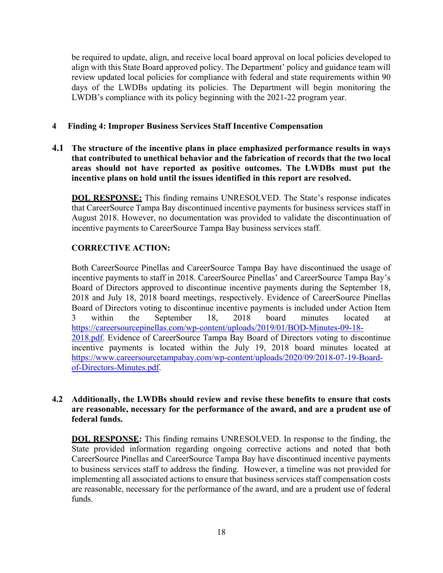be required to update, align, and receive local board approval on local policies developed to align with this State Board approved policy. The Department' policy and guidance team will review updated local policies for compliance with federal and state requirements within 90 days of the LWDBs updating its policies. The Department will begin monitoring the LWDB's compliance with its policy beginning with the 2021-22 program year.

#### **4 Finding 4: Improper Business Services Staff Incentive Compensation**

**4.1 The structure of the incentive plans in place emphasized performance results in ways that contributed to unethical behavior and the fabrication of records that the two local areas should not have reported as positive outcomes. The LWDBs must put the incentive plans on hold until the issues identified in this report are resolved.** 

**DOL RESPONSE:** This finding remains UNRESOLVED. The State's response indicates that CareerSource Tampa Bay discontinued incentive payments for business services staff in August 2018. However, no documentation was provided to validate the discontinuation of incentive payments to CareerSource Tampa Bay business services staff.

#### **CORRECTIVE ACTION:**

Both CareerSource Pinellas and CareerSource Tampa Bay have discontinued the usage of incentive payments to staff in 2018. CareerSource Pinellas' and CareerSource Tampa Bay's Board of Directors approved to discontinue incentive payments during the September 18, 2018 and July 18, 2018 board meetings, respectively. Evidence of CareerSource Pinellas Board of Directors voting to discontinue incentive payments is included under Action Item 3 within the September 18, 2018 board minutes located at https://careersourcepinellas.com/wp-content/uploads/2019/01/BOD-Minutes-09-18- 2018.pdf. Evidence of CareerSource Tampa Bay Board of Directors voting to discontinue incentive payments is located within the July 19, 2018 board minutes located at https://www.careersourcetampabay.com/wp-content/uploads/2020/09/2018-07-19-Boardof-Directors-Minutes.pdf.

#### **4.2 Additionally, the LWDBs should review and revise these benefits to ensure that costs are reasonable, necessary for the performance of the award, and are a prudent use of federal funds.**

**DOL RESPONSE:** This finding remains UNRESOLVED. In response to the finding, the State provided information regarding ongoing corrective actions and noted that both CareerSource Pinellas and CareerSource Tampa Bay have discontinued incentive payments to business services staff to address the finding. However, a timeline was not provided for implementing all associated actions to ensure that business services staff compensation costs are reasonable, necessary for the performance of the award, and are a prudent use of federal funds.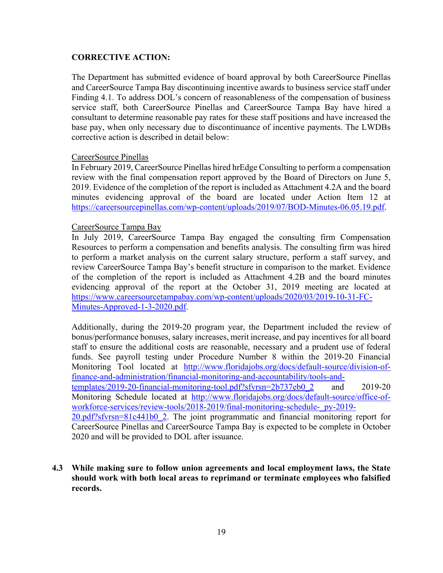#### **CORRECTIVE ACTION:**

The Department has submitted evidence of board approval by both CareerSource Pinellas and CareerSource Tampa Bay discontinuing incentive awards to business service staff under Finding 4.1. To address DOL's concern of reasonableness of the compensation of business service staff, both CareerSource Pinellas and CareerSource Tampa Bay have hired a consultant to determine reasonable pay rates for these staff positions and have increased the base pay, when only necessary due to discontinuance of incentive payments. The LWDBs corrective action is described in detail below:

#### CareerSource Pinellas

In February 2019, CareerSource Pinellas hired hrEdge Consulting to perform a compensation review with the final compensation report approved by the Board of Directors on June 5, 2019. Evidence of the completion of the report is included as Attachment 4.2A and the board minutes evidencing approval of the board are located under Action Item 12 at https://careersourcepinellas.com/wp-content/uploads/2019/07/BOD-Minutes-06.05.19.pdf.

#### CareerSource Tampa Bay

In July 2019, CareerSource Tampa Bay engaged the consulting firm Compensation Resources to perform a compensation and benefits analysis. The consulting firm was hired to perform a market analysis on the current salary structure, perform a staff survey, and review CareerSource Tampa Bay's benefit structure in comparison to the market. Evidence of the completion of the report is included as Attachment 4.2B and the board minutes evidencing approval of the report at the October 31, 2019 meeting are located at https://www.careersourcetampabay.com/wp-content/uploads/2020/03/2019-10-31-FC-Minutes-Approved-1-3-2020.pdf.

Additionally, during the 2019-20 program year, the Department included the review of bonus/performance bonuses, salary increases, merit increase, and pay incentives for all board staff to ensure the additional costs are reasonable, necessary and a prudent use of federal funds. See payroll testing under Procedure Number 8 within the 2019-20 Financial Monitoring Tool located at http://www.floridajobs.org/docs/default-source/division-offinance-and-administration/financial-monitoring-and-accountability/tools-andtemplates/2019-20-financial-monitoring-tool.pdf?sfvrsn=2b737eb0\_2 and 2019-20 Monitoring Schedule located at http://www.floridajobs.org/docs/default-source/office-ofworkforce-services/review-tools/2018-2019/final-monitoring-schedule-\_py-2019- 20.pdf?sfvrsn=81c441b0\_2. The joint programmatic and financial monitoring report for CareerSource Pinellas and CareerSource Tampa Bay is expected to be complete in October 2020 and will be provided to DOL after issuance.

**4.3 While making sure to follow union agreements and local employment laws, the State should work with both local areas to reprimand or terminate employees who falsified records.**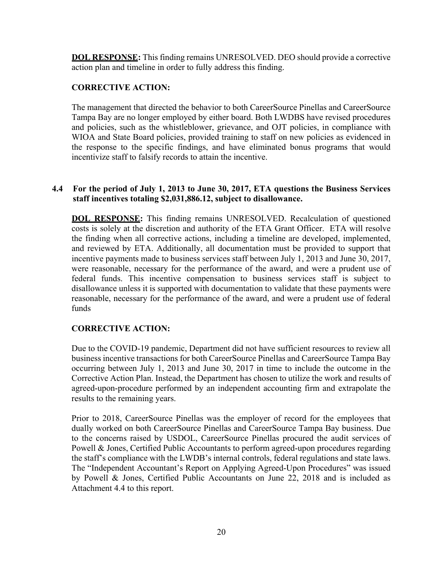**DOL RESPONSE:** This finding remains UNRESOLVED. DEO should provide a corrective action plan and timeline in order to fully address this finding.

### **CORRECTIVE ACTION:**

The management that directed the behavior to both CareerSource Pinellas and CareerSource Tampa Bay are no longer employed by either board. Both LWDBS have revised procedures and policies, such as the whistleblower, grievance, and OJT policies, in compliance with WIOA and State Board policies, provided training to staff on new policies as evidenced in the response to the specific findings, and have eliminated bonus programs that would incentivize staff to falsify records to attain the incentive.

#### **4.4 For the period of July 1, 2013 to June 30, 2017, ETA questions the Business Services staff incentives totaling \$2,031,886.12, subject to disallowance.**

**DOL RESPONSE:** This finding remains UNRESOLVED. Recalculation of questioned costs is solely at the discretion and authority of the ETA Grant Officer. ETA will resolve the finding when all corrective actions, including a timeline are developed, implemented, and reviewed by ETA. Additionally, all documentation must be provided to support that incentive payments made to business services staff between July 1, 2013 and June 30, 2017, were reasonable, necessary for the performance of the award, and were a prudent use of federal funds. This incentive compensation to business services staff is subject to disallowance unless it is supported with documentation to validate that these payments were reasonable, necessary for the performance of the award, and were a prudent use of federal funds

### **CORRECTIVE ACTION:**

Due to the COVID-19 pandemic, Department did not have sufficient resources to review all business incentive transactions for both CareerSource Pinellas and CareerSource Tampa Bay occurring between July 1, 2013 and June 30, 2017 in time to include the outcome in the Corrective Action Plan. Instead, the Department has chosen to utilize the work and results of agreed-upon-procedure performed by an independent accounting firm and extrapolate the results to the remaining years.

Prior to 2018, CareerSource Pinellas was the employer of record for the employees that dually worked on both CareerSource Pinellas and CareerSource Tampa Bay business. Due to the concerns raised by USDOL, CareerSource Pinellas procured the audit services of Powell & Jones, Certified Public Accountants to perform agreed-upon procedures regarding the staff's compliance with the LWDB's internal controls, federal regulations and state laws. The "Independent Accountant's Report on Applying Agreed-Upon Procedures" was issued by Powell & Jones, Certified Public Accountants on June 22, 2018 and is included as Attachment 4.4 to this report.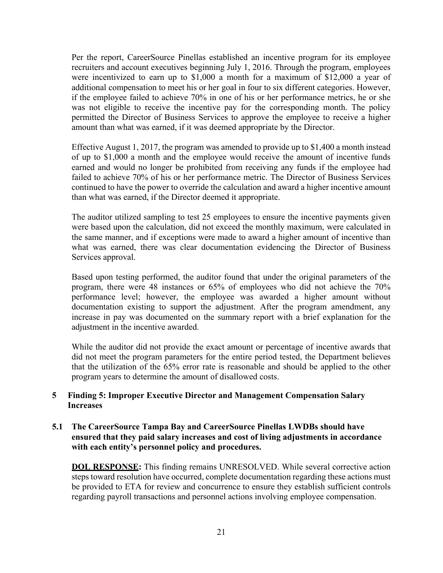Per the report, CareerSource Pinellas established an incentive program for its employee recruiters and account executives beginning July 1, 2016. Through the program, employees were incentivized to earn up to \$1,000 a month for a maximum of \$12,000 a year of additional compensation to meet his or her goal in four to six different categories. However, if the employee failed to achieve 70% in one of his or her performance metrics, he or she was not eligible to receive the incentive pay for the corresponding month. The policy permitted the Director of Business Services to approve the employee to receive a higher amount than what was earned, if it was deemed appropriate by the Director.

Effective August 1, 2017, the program was amended to provide up to \$1,400 a month instead of up to \$1,000 a month and the employee would receive the amount of incentive funds earned and would no longer be prohibited from receiving any funds if the employee had failed to achieve 70% of his or her performance metric. The Director of Business Services continued to have the power to override the calculation and award a higher incentive amount than what was earned, if the Director deemed it appropriate.

The auditor utilized sampling to test 25 employees to ensure the incentive payments given were based upon the calculation, did not exceed the monthly maximum, were calculated in the same manner, and if exceptions were made to award a higher amount of incentive than what was earned, there was clear documentation evidencing the Director of Business Services approval.

Based upon testing performed, the auditor found that under the original parameters of the program, there were 48 instances or 65% of employees who did not achieve the 70% performance level; however, the employee was awarded a higher amount without documentation existing to support the adjustment. After the program amendment, any increase in pay was documented on the summary report with a brief explanation for the adjustment in the incentive awarded.

While the auditor did not provide the exact amount or percentage of incentive awards that did not meet the program parameters for the entire period tested, the Department believes that the utilization of the 65% error rate is reasonable and should be applied to the other program years to determine the amount of disallowed costs.

#### **5 Finding 5: Improper Executive Director and Management Compensation Salary Increases**

#### **5.1 The CareerSource Tampa Bay and CareerSource Pinellas LWDBs should have ensured that they paid salary increases and cost of living adjustments in accordance with each entity's personnel policy and procedures.**

**DOL RESPONSE:** This finding remains UNRESOLVED. While several corrective action steps toward resolution have occurred, complete documentation regarding these actions must be provided to ETA for review and concurrence to ensure they establish sufficient controls regarding payroll transactions and personnel actions involving employee compensation.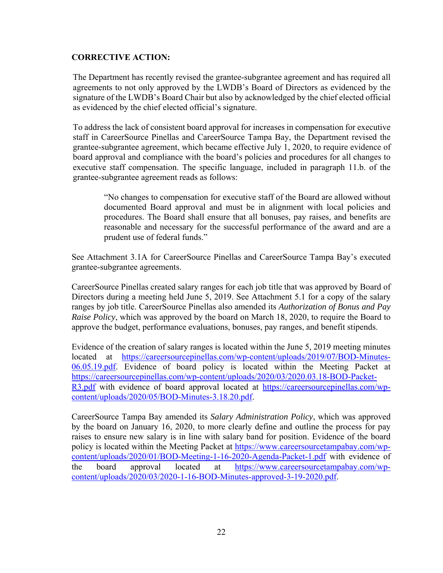### **CORRECTIVE ACTION:**

The Department has recently revised the grantee-subgrantee agreement and has required all agreements to not only approved by the LWDB's Board of Directors as evidenced by the signature of the LWDB's Board Chair but also by acknowledged by the chief elected official as evidenced by the chief elected official's signature.

To address the lack of consistent board approval for increases in compensation for executive staff in CareerSource Pinellas and CareerSource Tampa Bay, the Department revised the grantee-subgrantee agreement, which became effective July 1, 2020, to require evidence of board approval and compliance with the board's policies and procedures for all changes to executive staff compensation. The specific language, included in paragraph 11.b. of the grantee-subgrantee agreement reads as follows:

"No changes to compensation for executive staff of the Board are allowed without documented Board approval and must be in alignment with local policies and procedures. The Board shall ensure that all bonuses, pay raises, and benefits are reasonable and necessary for the successful performance of the award and are a prudent use of federal funds."

See Attachment 3.1A for CareerSource Pinellas and CareerSource Tampa Bay's executed grantee-subgrantee agreements.

CareerSource Pinellas created salary ranges for each job title that was approved by Board of Directors during a meeting held June 5, 2019. See Attachment 5.1 for a copy of the salary ranges by job title. CareerSource Pinellas also amended its *Authorization of Bonus and Pay Raise Policy*, which was approved by the board on March 18, 2020, to require the Board to approve the budget, performance evaluations, bonuses, pay ranges, and benefit stipends.

Evidence of the creation of salary ranges is located within the June 5, 2019 meeting minutes located at https://careersourcepinellas.com/wp-content/uploads/2019/07/BOD-Minutes-06.05.19.pdf. Evidence of board policy is located within the Meeting Packet at https://careersourcepinellas.com/wp-content/uploads/2020/03/2020.03.18-BOD-Packet-R3.pdf with evidence of board approval located at https://careersourcepinellas.com/wpcontent/uploads/2020/05/BOD-Minutes-3.18.20.pdf.

CareerSource Tampa Bay amended its *Salary Administration Policy*, which was approved by the board on January 16, 2020, to more clearly define and outline the process for pay raises to ensure new salary is in line with salary band for position. Evidence of the board policy is located within the Meeting Packet at https://www.careersourcetampabay.com/wpcontent/uploads/2020/01/BOD-Meeting-1-16-2020-Agenda-Packet-1.pdf with evidence of the board approval located at https://www.careersourcetampabay.com/wpcontent/uploads/2020/03/2020-1-16-BOD-Minutes-approved-3-19-2020.pdf.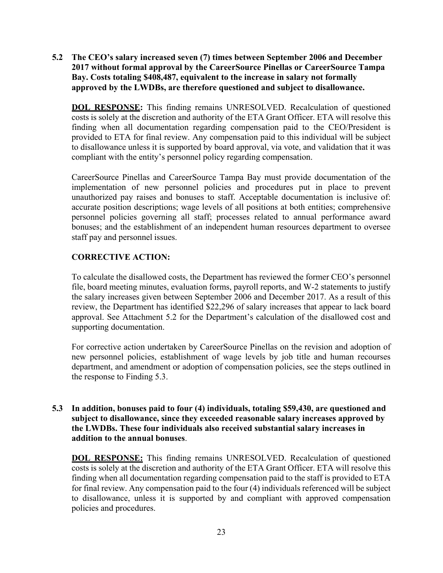**5.2 The CEO's salary increased seven (7) times between September 2006 and December 2017 without formal approval by the CareerSource Pinellas or CareerSource Tampa Bay. Costs totaling \$408,487, equivalent to the increase in salary not formally approved by the LWDBs, are therefore questioned and subject to disallowance.** 

**DOL RESPONSE:** This finding remains UNRESOLVED. Recalculation of questioned costs is solely at the discretion and authority of the ETA Grant Officer. ETA will resolve this finding when all documentation regarding compensation paid to the CEO/President is provided to ETA for final review. Any compensation paid to this individual will be subject to disallowance unless it is supported by board approval, via vote, and validation that it was compliant with the entity's personnel policy regarding compensation.

CareerSource Pinellas and CareerSource Tampa Bay must provide documentation of the implementation of new personnel policies and procedures put in place to prevent unauthorized pay raises and bonuses to staff. Acceptable documentation is inclusive of: accurate position descriptions; wage levels of all positions at both entities; comprehensive personnel policies governing all staff; processes related to annual performance award bonuses; and the establishment of an independent human resources department to oversee staff pay and personnel issues.

## **CORRECTIVE ACTION:**

To calculate the disallowed costs, the Department has reviewed the former CEO's personnel file, board meeting minutes, evaluation forms, payroll reports, and W-2 statements to justify the salary increases given between September 2006 and December 2017. As a result of this review, the Department has identified \$22,296 of salary increases that appear to lack board approval. See Attachment 5.2 for the Department's calculation of the disallowed cost and supporting documentation.

For corrective action undertaken by CareerSource Pinellas on the revision and adoption of new personnel policies, establishment of wage levels by job title and human recourses department, and amendment or adoption of compensation policies, see the steps outlined in the response to Finding 5.3.

#### **5.3 In addition, bonuses paid to four (4) individuals, totaling \$59,430, are questioned and subject to disallowance, since they exceeded reasonable salary increases approved by the LWDBs. These four individuals also received substantial salary increases in addition to the annual bonuses**.

**DOL RESPONSE:** This finding remains UNRESOLVED. Recalculation of questioned costs is solely at the discretion and authority of the ETA Grant Officer. ETA will resolve this finding when all documentation regarding compensation paid to the staff is provided to ETA for final review. Any compensation paid to the four (4) individuals referenced will be subject to disallowance, unless it is supported by and compliant with approved compensation policies and procedures.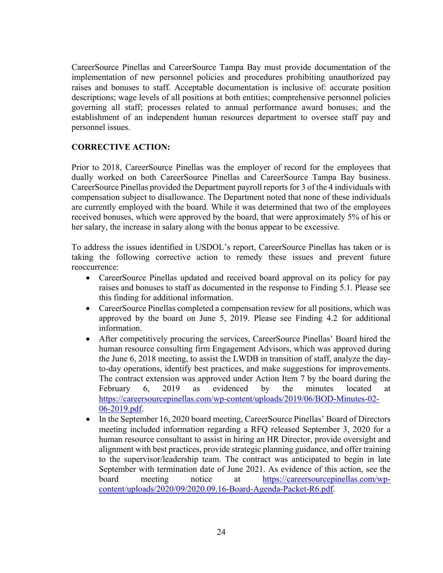CareerSource Pinellas and CareerSource Tampa Bay must provide documentation of the implementation of new personnel policies and procedures prohibiting unauthorized pay raises and bonuses to staff. Acceptable documentation is inclusive of: accurate position descriptions; wage levels of all positions at both entities; comprehensive personnel policies governing all staff; processes related to annual performance award bonuses; and the establishment of an independent human resources department to oversee staff pay and personnel issues.

### **CORRECTIVE ACTION:**

Prior to 2018, CareerSource Pinellas was the employer of record for the employees that dually worked on both CareerSource Pinellas and CareerSource Tampa Bay business. CareerSource Pinellas provided the Department payroll reports for 3 of the 4 individuals with compensation subject to disallowance. The Department noted that none of these individuals are currently employed with the board. While it was determined that two of the employees received bonuses, which were approved by the board, that were approximately 5% of his or her salary, the increase in salary along with the bonus appear to be excessive.

To address the issues identified in USDOL's report, CareerSource Pinellas has taken or is taking the following corrective action to remedy these issues and prevent future reoccurrence:

- CareerSource Pinellas updated and received board approval on its policy for pay raises and bonuses to staff as documented in the response to Finding 5.1. Please see this finding for additional information.
- CareerSource Pinellas completed a compensation review for all positions, which was approved by the board on June 5, 2019. Please see Finding 4.2 for additional information.
- After competitively procuring the services, CareerSource Pinellas' Board hired the human resource consulting firm Engagement Advisors, which was approved during the June 6, 2018 meeting, to assist the LWDB in transition of staff, analyze the dayto-day operations, identify best practices, and make suggestions for improvements. The contract extension was approved under Action Item 7 by the board during the February 6, 2019 as evidenced by the minutes located at https://careersourcepinellas.com/wp-content/uploads/2019/06/BOD-Minutes-02- 06-2019.pdf.
- In the September 16, 2020 board meeting, CareerSource Pinellas' Board of Directors meeting included information regarding a RFQ released September 3, 2020 for a human resource consultant to assist in hiring an HR Director, provide oversight and alignment with best practices, provide strategic planning guidance, and offer training to the supervisor/leadership team. The contract was anticipated to begin in late September with termination date of June 2021. As evidence of this action, see the board meeting notice at https://careersourcepinellas.com/wpcontent/uploads/2020/09/2020.09.16-Board-Agenda-Packet-R6.pdf.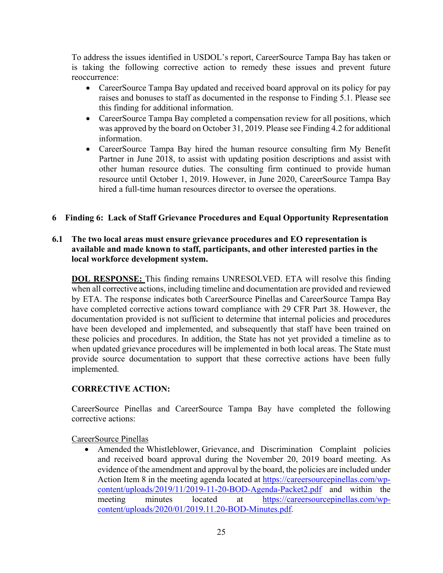To address the issues identified in USDOL's report, CareerSource Tampa Bay has taken or is taking the following corrective action to remedy these issues and prevent future reoccurrence:

- CareerSource Tampa Bay updated and received board approval on its policy for pay raises and bonuses to staff as documented in the response to Finding 5.1. Please see this finding for additional information.
- CareerSource Tampa Bay completed a compensation review for all positions, which was approved by the board on October 31, 2019. Please see Finding 4.2 for additional information.
- CareerSource Tampa Bay hired the human resource consulting firm My Benefit Partner in June 2018, to assist with updating position descriptions and assist with other human resource duties. The consulting firm continued to provide human resource until October 1, 2019. However, in June 2020, CareerSource Tampa Bay hired a full-time human resources director to oversee the operations.

## **6 Finding 6: Lack of Staff Grievance Procedures and Equal Opportunity Representation**

### **6.1 The two local areas must ensure grievance procedures and EO representation is available and made known to staff, participants, and other interested parties in the local workforce development system.**

**DOL RESPONSE:** This finding remains UNRESOLVED. ETA will resolve this finding when all corrective actions, including timeline and documentation are provided and reviewed by ETA. The response indicates both CareerSource Pinellas and CareerSource Tampa Bay have completed corrective actions toward compliance with 29 CFR Part 38. However, the documentation provided is not sufficient to determine that internal policies and procedures have been developed and implemented, and subsequently that staff have been trained on these policies and procedures. In addition, the State has not yet provided a timeline as to when updated grievance procedures will be implemented in both local areas. The State must provide source documentation to support that these corrective actions have been fully implemented.

### **CORRECTIVE ACTION:**

CareerSource Pinellas and CareerSource Tampa Bay have completed the following corrective actions:

CareerSource Pinellas

 Amended the Whistleblower, Grievance, and Discrimination Complaint policies and received board approval during the November 20, 2019 board meeting. As evidence of the amendment and approval by the board, the policies are included under Action Item 8 in the meeting agenda located at https://careersourcepinellas.com/wpcontent/uploads/2019/11/2019-11-20-BOD-Agenda-Packet2.pdf and within the meeting minutes located at https://careersourcepinellas.com/wpcontent/uploads/2020/01/2019.11.20-BOD-Minutes.pdf.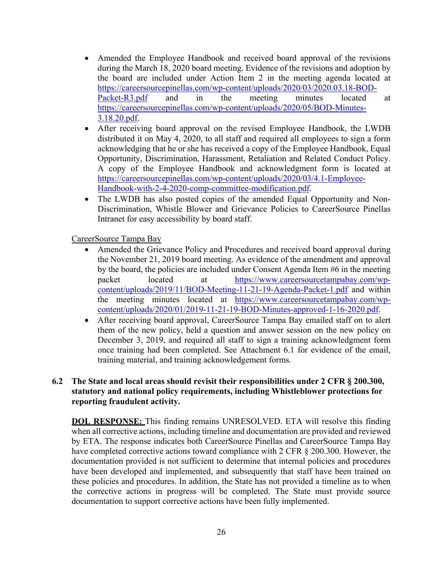- Amended the Employee Handbook and received board approval of the revisions during the March 18, 2020 board meeting. Evidence of the revisions and adoption by the board are included under Action Item 2 in the meeting agenda located at https://careersourcepinellas.com/wp-content/uploads/2020/03/2020.03.18-BOD-Packet-R3.pdf and in the meeting minutes located at https://careersourcepinellas.com/wp-content/uploads/2020/05/BOD-Minutes-3.18.20.pdf.
- After receiving board approval on the revised Employee Handbook, the LWDB distributed it on May 4, 2020, to all staff and required all employees to sign a form acknowledging that he or she has received a copy of the Employee Handbook, Equal Opportunity, Discrimination, Harassment, Retaliation and Related Conduct Policy. A copy of the Employee Handbook and acknowledgment form is located at https://careersourcepinellas.com/wp-content/uploads/2020/03/4.1-Employee-Handbook-with-2-4-2020-comp-committee-modification.pdf.
- The LWDB has also posted copies of the amended Equal Opportunity and Non-Discrimination, Whistle Blower and Grievance Policies to CareerSource Pinellas Intranet for easy accessibility by board staff.

CareerSource Tampa Bay

- Amended the Grievance Policy and Procedures and received board approval during the November 21, 2019 board meeting. As evidence of the amendment and approval by the board, the policies are included under Consent Agenda Item #6 in the meeting packet located at https://www.careersourcetampabay.com/wpcontent/uploads/2019/11/BOD-Meeting-11-21-19-Agenda-Packet-1.pdf and within the meeting minutes located at https://www.careersourcetampabay.com/wpcontent/uploads/2020/01/2019-11-21-19-BOD-Minutes-approved-1-16-2020.pdf.
- After receiving board approval, CareerSource Tampa Bay emailed staff on to alert them of the new policy, held a question and answer session on the new policy on December 3, 2019, and required all staff to sign a training acknowledgment form once training had been completed. See Attachment 6.1 for evidence of the email, training material, and training acknowledgement forms.

#### **6.2 The State and local areas should revisit their responsibilities under 2 CFR § 200.300, statutory and national policy requirements, including Whistleblower protections for reporting fraudulent activity.**

**DOL RESPONSE:** This finding remains UNRESOLVED. ETA will resolve this finding when all corrective actions, including timeline and documentation are provided and reviewed by ETA. The response indicates both CareerSource Pinellas and CareerSource Tampa Bay have completed corrective actions toward compliance with 2 CFR § 200.300. However, the documentation provided is not sufficient to determine that internal policies and procedures have been developed and implemented, and subsequently that staff have been trained on these policies and procedures. In addition, the State has not provided a timeline as to when the corrective actions in progress will be completed. The State must provide source documentation to support corrective actions have been fully implemented.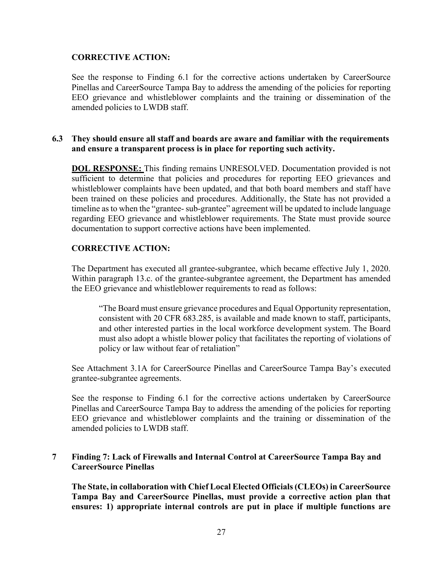#### **CORRECTIVE ACTION:**

See the response to Finding 6.1 for the corrective actions undertaken by CareerSource Pinellas and CareerSource Tampa Bay to address the amending of the policies for reporting EEO grievance and whistleblower complaints and the training or dissemination of the amended policies to LWDB staff.

#### **6.3 They should ensure all staff and boards are aware and familiar with the requirements and ensure a transparent process is in place for reporting such activity.**

**DOL RESPONSE:** This finding remains UNRESOLVED. Documentation provided is not sufficient to determine that policies and procedures for reporting EEO grievances and whistleblower complaints have been updated, and that both board members and staff have been trained on these policies and procedures. Additionally, the State has not provided a timeline as to when the "grantee- sub-grantee" agreement will be updated to include language regarding EEO grievance and whistleblower requirements. The State must provide source documentation to support corrective actions have been implemented.

#### **CORRECTIVE ACTION:**

The Department has executed all grantee-subgrantee, which became effective July 1, 2020. Within paragraph 13.c. of the grantee-subgrantee agreement, the Department has amended the EEO grievance and whistleblower requirements to read as follows:

"The Board must ensure grievance procedures and Equal Opportunity representation, consistent with 20 CFR 683.285, is available and made known to staff, participants, and other interested parties in the local workforce development system. The Board must also adopt a whistle blower policy that facilitates the reporting of violations of policy or law without fear of retaliation"

See Attachment 3.1A for CareerSource Pinellas and CareerSource Tampa Bay's executed grantee-subgrantee agreements.

See the response to Finding 6.1 for the corrective actions undertaken by CareerSource Pinellas and CareerSource Tampa Bay to address the amending of the policies for reporting EEO grievance and whistleblower complaints and the training or dissemination of the amended policies to LWDB staff.

### **7 Finding 7: Lack of Firewalls and Internal Control at CareerSource Tampa Bay and CareerSource Pinellas**

**The State, in collaboration with Chief Local Elected Officials (CLEOs) in CareerSource Tampa Bay and CareerSource Pinellas, must provide a corrective action plan that ensures: 1) appropriate internal controls are put in place if multiple functions are**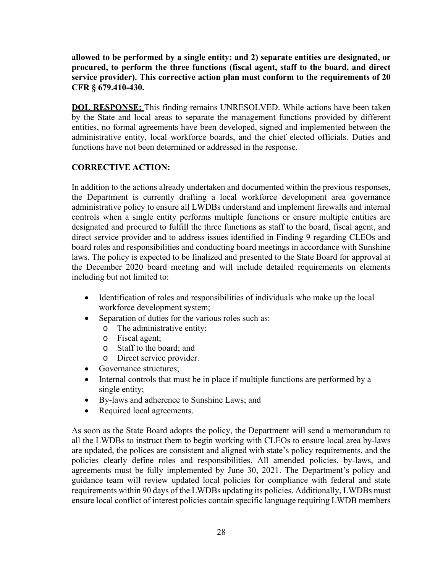**allowed to be performed by a single entity; and 2) separate entities are designated, or procured, to perform the three functions (fiscal agent, staff to the board, and direct service provider). This corrective action plan must conform to the requirements of 20 CFR § 679.410-430.** 

**DOL RESPONSE:** This finding remains UNRESOLVED. While actions have been taken by the State and local areas to separate the management functions provided by different entities, no formal agreements have been developed, signed and implemented between the administrative entity, local workforce boards, and the chief elected officials. Duties and functions have not been determined or addressed in the response.

## **CORRECTIVE ACTION:**

In addition to the actions already undertaken and documented within the previous responses, the Department is currently drafting a local workforce development area governance administrative policy to ensure all LWDBs understand and implement firewalls and internal controls when a single entity performs multiple functions or ensure multiple entities are designated and procured to fulfill the three functions as staff to the board, fiscal agent, and direct service provider and to address issues identified in Finding 9 regarding CLEOs and board roles and responsibilities and conducting board meetings in accordance with Sunshine laws. The policy is expected to be finalized and presented to the State Board for approval at the December 2020 board meeting and will include detailed requirements on elements including but not limited to:

- Identification of roles and responsibilities of individuals who make up the local workforce development system;
- Separation of duties for the various roles such as:
	- o The administrative entity;
	- o Fiscal agent;
	- o Staff to the board; and
	- o Direct service provider.
- Governance structures;
- Internal controls that must be in place if multiple functions are performed by a single entity;
- By-laws and adherence to Sunshine Laws; and
- Required local agreements.

As soon as the State Board adopts the policy, the Department will send a memorandum to all the LWDBs to instruct them to begin working with CLEOs to ensure local area by-laws are updated, the polices are consistent and aligned with state's policy requirements, and the policies clearly define roles and responsibilities. All amended policies, by-laws, and agreements must be fully implemented by June 30, 2021. The Department's policy and guidance team will review updated local policies for compliance with federal and state requirements within 90 days of the LWDBs updating its policies. Additionally, LWDBs must ensure local conflict of interest policies contain specific language requiring LWDB members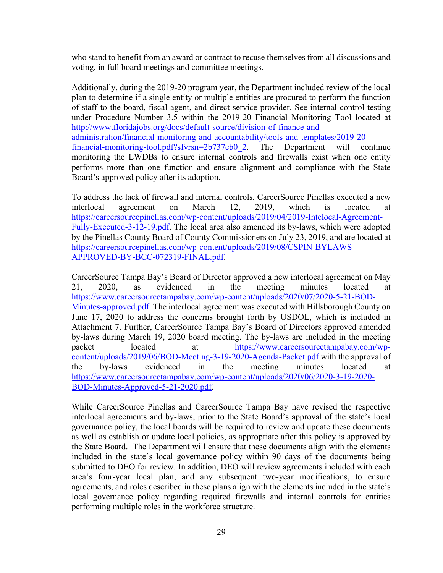who stand to benefit from an award or contract to recuse themselves from all discussions and voting, in full board meetings and committee meetings.

Additionally, during the 2019-20 program year, the Department included review of the local plan to determine if a single entity or multiple entities are procured to perform the function of staff to the board, fiscal agent, and direct service provider. See internal control testing under Procedure Number 3.5 within the 2019-20 Financial Monitoring Tool located at http://www.floridajobs.org/docs/default-source/division-of-finance-andadministration/financial-monitoring-and-accountability/tools-and-templates/2019-20 financial-monitoring-tool.pdf?sfvrsn=2b737eb0\_2. The Department will continue monitoring the LWDBs to ensure internal controls and firewalls exist when one entity performs more than one function and ensure alignment and compliance with the State Board's approved policy after its adoption.

To address the lack of firewall and internal controls, CareerSource Pinellas executed a new interlocal agreement on March 12, 2019, which is located at https://careersourcepinellas.com/wp-content/uploads/2019/04/2019-Intelocal-Agreement-Fully-Executed-3-12-19.pdf. The local area also amended its by-laws, which were adopted by the Pinellas County Board of County Commissioners on July 23, 2019, and are located at https://careersourcepinellas.com/wp-content/uploads/2019/08/CSPIN-BYLAWS-APPROVED-BY-BCC-072319-FINAL.pdf.

CareerSource Tampa Bay's Board of Director approved a new interlocal agreement on May 21, 2020, as evidenced in the meeting minutes located at https://www.careersourcetampabay.com/wp-content/uploads/2020/07/2020-5-21-BOD-Minutes-approved.pdf. The interlocal agreement was executed with Hillsborough County on June 17, 2020 to address the concerns brought forth by USDOL, which is included in Attachment 7. Further, CareerSource Tampa Bay's Board of Directors approved amended by-laws during March 19, 2020 board meeting. The by-laws are included in the meeting packet located at https://www.careersourcetampabay.com/wpcontent/uploads/2019/06/BOD-Meeting-3-19-2020-Agenda-Packet.pdf with the approval of the by-laws evidenced in the meeting minutes located at https://www.careersourcetampabay.com/wp-content/uploads/2020/06/2020-3-19-2020- BOD-Minutes-Approved-5-21-2020.pdf.

While CareerSource Pinellas and CareerSource Tampa Bay have revised the respective interlocal agreements and by-laws, prior to the State Board's approval of the state's local governance policy, the local boards will be required to review and update these documents as well as establish or update local policies, as appropriate after this policy is approved by the State Board. The Department will ensure that these documents align with the elements included in the state's local governance policy within 90 days of the documents being submitted to DEO for review. In addition, DEO will review agreements included with each area's four-year local plan, and any subsequent two-year modifications, to ensure agreements, and roles described in these plans align with the elements included in the state's local governance policy regarding required firewalls and internal controls for entities performing multiple roles in the workforce structure.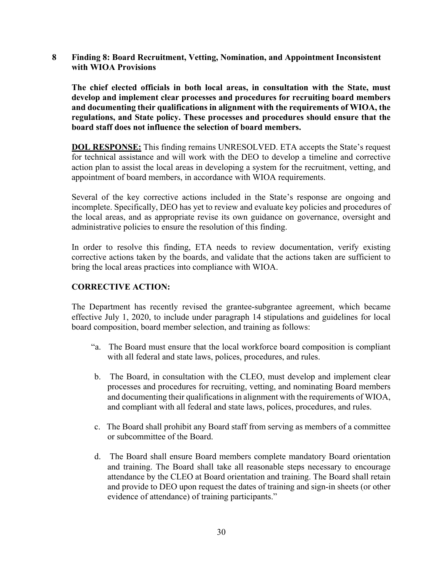**8 Finding 8: Board Recruitment, Vetting, Nomination, and Appointment Inconsistent with WIOA Provisions** 

**The chief elected officials in both local areas, in consultation with the State, must develop and implement clear processes and procedures for recruiting board members and documenting their qualifications in alignment with the requirements of WIOA, the regulations, and State policy. These processes and procedures should ensure that the board staff does not influence the selection of board members.** 

**DOL RESPONSE:** This finding remains UNRESOLVED. ETA accepts the State's request for technical assistance and will work with the DEO to develop a timeline and corrective action plan to assist the local areas in developing a system for the recruitment, vetting, and appointment of board members, in accordance with WIOA requirements.

Several of the key corrective actions included in the State's response are ongoing and incomplete. Specifically, DEO has yet to review and evaluate key policies and procedures of the local areas, and as appropriate revise its own guidance on governance, oversight and administrative policies to ensure the resolution of this finding.

In order to resolve this finding, ETA needs to review documentation, verify existing corrective actions taken by the boards, and validate that the actions taken are sufficient to bring the local areas practices into compliance with WIOA.

#### **CORRECTIVE ACTION:**

The Department has recently revised the grantee-subgrantee agreement, which became effective July 1, 2020, to include under paragraph 14 stipulations and guidelines for local board composition, board member selection, and training as follows:

- "a. The Board must ensure that the local workforce board composition is compliant with all federal and state laws, polices, procedures, and rules.
- b. The Board, in consultation with the CLEO, must develop and implement clear processes and procedures for recruiting, vetting, and nominating Board members and documenting their qualifications in alignment with the requirements of WIOA, and compliant with all federal and state laws, polices, procedures, and rules.
- c. The Board shall prohibit any Board staff from serving as members of a committee or subcommittee of the Board.
- d. The Board shall ensure Board members complete mandatory Board orientation and training. The Board shall take all reasonable steps necessary to encourage attendance by the CLEO at Board orientation and training. The Board shall retain and provide to DEO upon request the dates of training and sign-in sheets (or other evidence of attendance) of training participants."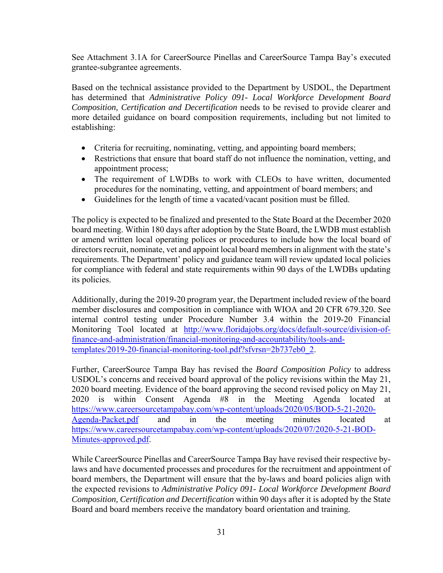See Attachment 3.1A for CareerSource Pinellas and CareerSource Tampa Bay's executed grantee-subgrantee agreements.

Based on the technical assistance provided to the Department by USDOL, the Department has determined that *Administrative Policy 091- Local Workforce Development Board Composition, Certification and Decertification* needs to be revised to provide clearer and more detailed guidance on board composition requirements, including but not limited to establishing:

- Criteria for recruiting, nominating, vetting, and appointing board members;
- Restrictions that ensure that board staff do not influence the nomination, vetting, and appointment process;
- The requirement of LWDBs to work with CLEOs to have written, documented procedures for the nominating, vetting, and appointment of board members; and
- Guidelines for the length of time a vacated/vacant position must be filled.

The policy is expected to be finalized and presented to the State Board at the December 2020 board meeting. Within 180 days after adoption by the State Board, the LWDB must establish or amend written local operating polices or procedures to include how the local board of directors recruit, nominate, vet and appoint local board members in alignment with the state's requirements. The Department' policy and guidance team will review updated local policies for compliance with federal and state requirements within 90 days of the LWDBs updating its policies.

Additionally, during the 2019-20 program year, the Department included review of the board member disclosures and composition in compliance with WIOA and 20 CFR 679.320. See internal control testing under Procedure Number 3.4 within the 2019-20 Financial Monitoring Tool located at http://www.floridajobs.org/docs/default-source/division-offinance-and-administration/financial-monitoring-and-accountability/tools-andtemplates/2019-20-financial-monitoring-tool.pdf?sfvrsn=2b737eb0\_2.

Further, CareerSource Tampa Bay has revised the *Board Composition Policy* to address USDOL's concerns and received board approval of the policy revisions within the May 21, 2020 board meeting. Evidence of the board approving the second revised policy on May 21, 2020 is within Consent Agenda #8 in the Meeting Agenda located at https://www.careersourcetampabay.com/wp-content/uploads/2020/05/BOD-5-21-2020- Agenda-Packet.pdf and in the meeting minutes located at https://www.careersourcetampabay.com/wp-content/uploads/2020/07/2020-5-21-BOD-Minutes-approved.pdf.

While CareerSource Pinellas and CareerSource Tampa Bay have revised their respective bylaws and have documented processes and procedures for the recruitment and appointment of board members, the Department will ensure that the by-laws and board policies align with the expected revisions to *Administrative Policy 091- Local Workforce Development Board Composition, Certification and Decertification* within 90 days after it is adopted by the State Board and board members receive the mandatory board orientation and training*.*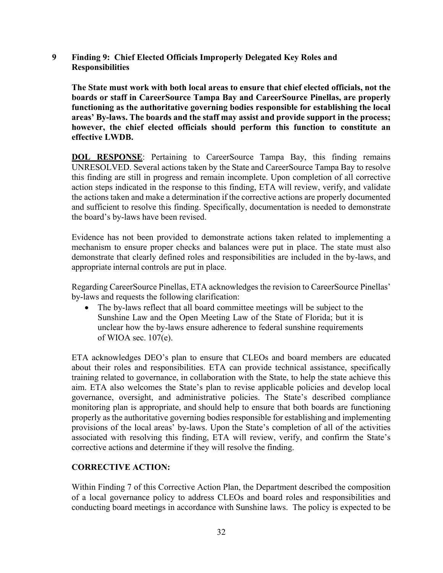**9 Finding 9: Chief Elected Officials Improperly Delegated Key Roles and Responsibilities** 

**The State must work with both local areas to ensure that chief elected officials, not the boards or staff in CareerSource Tampa Bay and CareerSource Pinellas, are properly functioning as the authoritative governing bodies responsible for establishing the local areas' By-laws. The boards and the staff may assist and provide support in the process; however, the chief elected officials should perform this function to constitute an effective LWDB.** 

**DOL RESPONSE:** Pertaining to CareerSource Tampa Bay, this finding remains UNRESOLVED. Several actions taken by the State and CareerSource Tampa Bay to resolve this finding are still in progress and remain incomplete. Upon completion of all corrective action steps indicated in the response to this finding, ETA will review, verify, and validate the actions taken and make a determination if the corrective actions are properly documented and sufficient to resolve this finding. Specifically, documentation is needed to demonstrate the board's by-laws have been revised.

Evidence has not been provided to demonstrate actions taken related to implementing a mechanism to ensure proper checks and balances were put in place. The state must also demonstrate that clearly defined roles and responsibilities are included in the by-laws, and appropriate internal controls are put in place.

Regarding CareerSource Pinellas, ETA acknowledges the revision to CareerSource Pinellas' by-laws and requests the following clarification:

• The by-laws reflect that all board committee meetings will be subject to the Sunshine Law and the Open Meeting Law of the State of Florida; but it is unclear how the by-laws ensure adherence to federal sunshine requirements of WIOA sec. 107(e).

ETA acknowledges DEO's plan to ensure that CLEOs and board members are educated about their roles and responsibilities. ETA can provide technical assistance, specifically training related to governance, in collaboration with the State, to help the state achieve this aim. ETA also welcomes the State's plan to revise applicable policies and develop local governance, oversight, and administrative policies. The State's described compliance monitoring plan is appropriate, and should help to ensure that both boards are functioning properly as the authoritative governing bodies responsible for establishing and implementing provisions of the local areas' by-laws. Upon the State's completion of all of the activities associated with resolving this finding, ETA will review, verify, and confirm the State's corrective actions and determine if they will resolve the finding.

### **CORRECTIVE ACTION:**

Within Finding 7 of this Corrective Action Plan, the Department described the composition of a local governance policy to address CLEOs and board roles and responsibilities and conducting board meetings in accordance with Sunshine laws. The policy is expected to be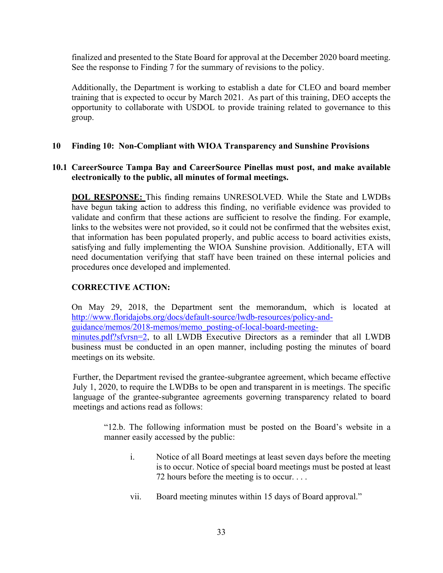finalized and presented to the State Board for approval at the December 2020 board meeting. See the response to Finding 7 for the summary of revisions to the policy.

Additionally, the Department is working to establish a date for CLEO and board member training that is expected to occur by March 2021. As part of this training, DEO accepts the opportunity to collaborate with USDOL to provide training related to governance to this group.

#### **10 Finding 10: Non-Compliant with WIOA Transparency and Sunshine Provisions**

#### **10.1 CareerSource Tampa Bay and CareerSource Pinellas must post, and make available electronically to the public, all minutes of formal meetings.**

**DOL RESPONSE:** This finding remains UNRESOLVED. While the State and LWDBs have begun taking action to address this finding, no verifiable evidence was provided to validate and confirm that these actions are sufficient to resolve the finding. For example, links to the websites were not provided, so it could not be confirmed that the websites exist, that information has been populated properly, and public access to board activities exists, satisfying and fully implementing the WIOA Sunshine provision. Additionally, ETA will need documentation verifying that staff have been trained on these internal policies and procedures once developed and implemented.

### **CORRECTIVE ACTION:**

On May 29, 2018, the Department sent the memorandum, which is located at http://www.floridajobs.org/docs/default-source/lwdb-resources/policy-andguidance/memos/2018-memos/memo\_posting-of-local-board-meeting-

minutes.pdf?sfvrsn=2, to all LWDB Executive Directors as a reminder that all LWDB business must be conducted in an open manner, including posting the minutes of board meetings on its website.

Further, the Department revised the grantee-subgrantee agreement, which became effective July 1, 2020, to require the LWDBs to be open and transparent in is meetings. The specific language of the grantee-subgrantee agreements governing transparency related to board meetings and actions read as follows:

"12.b. The following information must be posted on the Board's website in a manner easily accessed by the public:

- i. Notice of all Board meetings at least seven days before the meeting is to occur. Notice of special board meetings must be posted at least 72 hours before the meeting is to occur. . . .
- vii. Board meeting minutes within 15 days of Board approval."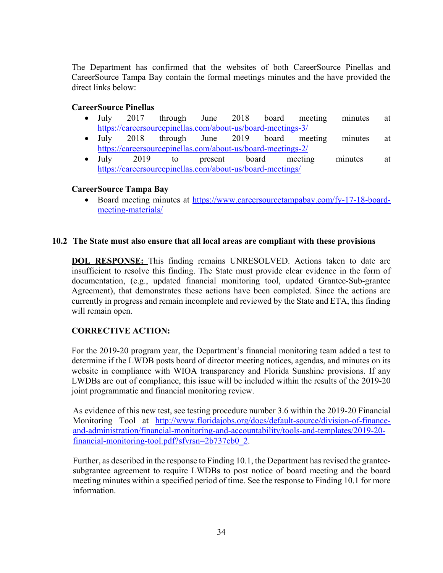The Department has confirmed that the websites of both CareerSource Pinellas and CareerSource Tampa Bay contain the formal meetings minutes and the have provided the direct links below:

#### **CareerSource Pinellas**

- July 2017 through June 2018 board meeting minutes at https://careersourcepinellas.com/about-us/board-meetings-3/
- July 2018 through June 2019 board meeting minutes at https://careersourcepinellas.com/about-us/board-meetings-2/
- July 2019 to present board meeting minutes at https://careersourcepinellas.com/about-us/board-meetings/

### **CareerSource Tampa Bay**

• Board meeting minutes at https://www.careersourcetampabay.com/fy-17-18-boardmeeting-materials/

#### **10.2 The State must also ensure that all local areas are compliant with these provisions**

**DOL RESPONSE:** This finding remains UNRESOLVED. Actions taken to date are insufficient to resolve this finding. The State must provide clear evidence in the form of documentation, (e.g., updated financial monitoring tool, updated Grantee-Sub-grantee Agreement), that demonstrates these actions have been completed. Since the actions are currently in progress and remain incomplete and reviewed by the State and ETA, this finding will remain open.

### **CORRECTIVE ACTION:**

For the 2019-20 program year, the Department's financial monitoring team added a test to determine if the LWDB posts board of director meeting notices, agendas, and minutes on its website in compliance with WIOA transparency and Florida Sunshine provisions. If any LWDBs are out of compliance, this issue will be included within the results of the 2019-20 joint programmatic and financial monitoring review.

As evidence of this new test, see testing procedure number 3.6 within the 2019-20 Financial Monitoring Tool at http://www.floridajobs.org/docs/default-source/division-of-financeand-administration/financial-monitoring-and-accountability/tools-and-templates/2019-20 financial-monitoring-tool.pdf?sfvrsn=2b737eb0\_2.

Further, as described in the response to Finding 10.1, the Department has revised the granteesubgrantee agreement to require LWDBs to post notice of board meeting and the board meeting minutes within a specified period of time. See the response to Finding 10.1 for more information.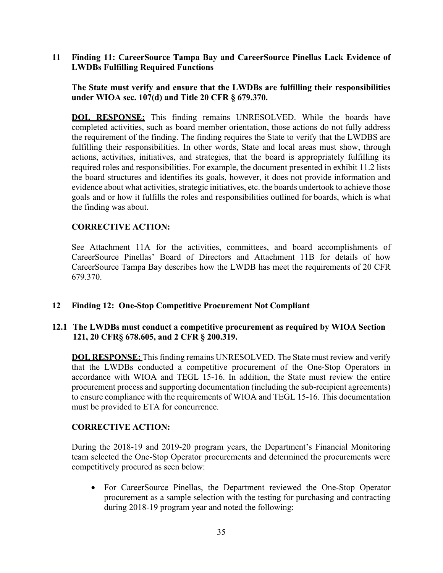#### **11 Finding 11: CareerSource Tampa Bay and CareerSource Pinellas Lack Evidence of LWDBs Fulfilling Required Functions**

#### **The State must verify and ensure that the LWDBs are fulfilling their responsibilities under WIOA sec. 107(d) and Title 20 CFR § 679.370.**

**DOL RESPONSE:** This finding remains UNRESOLVED. While the boards have completed activities, such as board member orientation, those actions do not fully address the requirement of the finding. The finding requires the State to verify that the LWDBS are fulfilling their responsibilities. In other words, State and local areas must show, through actions, activities, initiatives, and strategies, that the board is appropriately fulfilling its required roles and responsibilities. For example, the document presented in exhibit 11.2 lists the board structures and identifies its goals, however, it does not provide information and evidence about what activities, strategic initiatives, etc. the boards undertook to achieve those goals and or how it fulfills the roles and responsibilities outlined for boards, which is what the finding was about.

#### **CORRECTIVE ACTION:**

See Attachment 11A for the activities, committees, and board accomplishments of CareerSource Pinellas' Board of Directors and Attachment 11B for details of how CareerSource Tampa Bay describes how the LWDB has meet the requirements of 20 CFR 679.370.

#### **12 Finding 12: One-Stop Competitive Procurement Not Compliant**

#### **12.1 The LWDBs must conduct a competitive procurement as required by WIOA Section 121, 20 CFR§ 678.605, and 2 CFR § 200.319.**

**DOL RESPONSE:** This finding remains UNRESOLVED. The State must review and verify that the LWDBs conducted a competitive procurement of the One-Stop Operators in accordance with WIOA and TEGL 15-16. In addition, the State must review the entire procurement process and supporting documentation (including the sub-recipient agreements) to ensure compliance with the requirements of WIOA and TEGL 15-16. This documentation must be provided to ETA for concurrence.

#### **CORRECTIVE ACTION:**

During the 2018-19 and 2019-20 program years, the Department's Financial Monitoring team selected the One-Stop Operator procurements and determined the procurements were competitively procured as seen below:

 For CareerSource Pinellas, the Department reviewed the One-Stop Operator procurement as a sample selection with the testing for purchasing and contracting during 2018-19 program year and noted the following: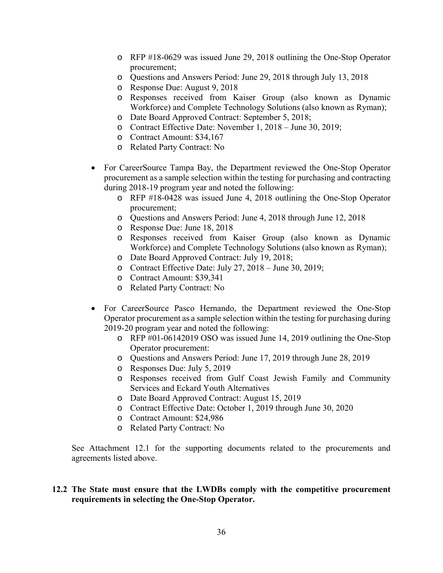- o RFP #18-0629 was issued June 29, 2018 outlining the One-Stop Operator procurement;
- o Questions and Answers Period: June 29, 2018 through July 13, 2018
- o Response Due: August 9, 2018
- o Responses received from Kaiser Group (also known as Dynamic Workforce) and Complete Technology Solutions (also known as Ryman);
- o Date Board Approved Contract: September 5, 2018;
- o Contract Effective Date: November 1, 2018 June 30, 2019;
- o Contract Amount: \$34,167
- o Related Party Contract: No
- For CareerSource Tampa Bay, the Department reviewed the One-Stop Operator procurement as a sample selection within the testing for purchasing and contracting during 2018-19 program year and noted the following:
	- o RFP #18-0428 was issued June 4, 2018 outlining the One-Stop Operator procurement;
	- o Questions and Answers Period: June 4, 2018 through June 12, 2018
	- o Response Due: June 18, 2018
	- o Responses received from Kaiser Group (also known as Dynamic Workforce) and Complete Technology Solutions (also known as Ryman);
	- o Date Board Approved Contract: July 19, 2018;
	- o Contract Effective Date: July 27, 2018 June 30, 2019;
	- o Contract Amount: \$39,341
	- o Related Party Contract: No
- For CareerSource Pasco Hernando, the Department reviewed the One-Stop Operator procurement as a sample selection within the testing for purchasing during 2019-20 program year and noted the following:
	- o RFP #01-06142019 OSO was issued June 14, 2019 outlining the One-Stop Operator procurement:
	- o Questions and Answers Period: June 17, 2019 through June 28, 2019
	- o Responses Due: July 5, 2019
	- o Responses received from Gulf Coast Jewish Family and Community Services and Eckard Youth Alternatives
	- o Date Board Approved Contract: August 15, 2019
	- o Contract Effective Date: October 1, 2019 through June 30, 2020
	- o Contract Amount: \$24,986
	- o Related Party Contract: No

See Attachment 12.1 for the supporting documents related to the procurements and agreements listed above.

#### **12.2 The State must ensure that the LWDBs comply with the competitive procurement requirements in selecting the One-Stop Operator.**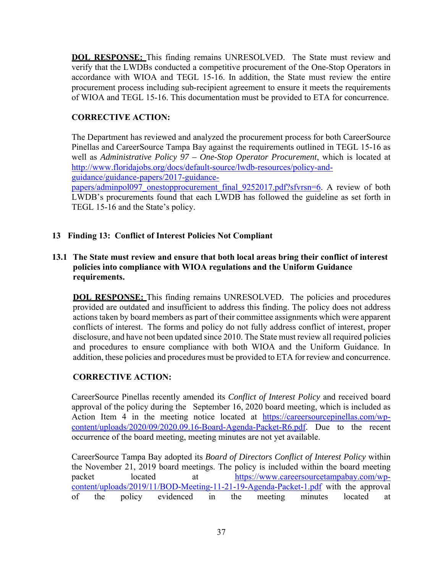**DOL RESPONSE:** This finding remains UNRESOLVED. The State must review and verify that the LWDBs conducted a competitive procurement of the One-Stop Operators in accordance with WIOA and TEGL 15-16. In addition, the State must review the entire procurement process including sub-recipient agreement to ensure it meets the requirements of WIOA and TEGL 15-16. This documentation must be provided to ETA for concurrence.

## **CORRECTIVE ACTION:**

The Department has reviewed and analyzed the procurement process for both CareerSource Pinellas and CareerSource Tampa Bay against the requirements outlined in TEGL 15-16 as well as *Administrative Policy 97 – One-Stop Operator Procurement*, which is located at http://www.floridajobs.org/docs/default-source/lwdb-resources/policy-and-

guidance/guidance-papers/2017-guidance-

papers/adminpol097 onestopprocurement final 9252017.pdf?sfvrsn=6. A review of both LWDB's procurements found that each LWDB has followed the guideline as set forth in TEGL 15-16 and the State's policy.

### **13 Finding 13: Conflict of Interest Policies Not Compliant**

## **13.1 The State must review and ensure that both local areas bring their conflict of interest policies into compliance with WIOA regulations and the Uniform Guidance requirements.**

**DOL RESPONSE:** This finding remains UNRESOLVED. The policies and procedures provided are outdated and insufficient to address this finding. The policy does not address actions taken by board members as part of their committee assignments which were apparent conflicts of interest. The forms and policy do not fully address conflict of interest, proper disclosure, and have not been updated since 2010. The State must review all required policies and procedures to ensure compliance with both WIOA and the Uniform Guidance. In addition, these policies and procedures must be provided to ETA for review and concurrence.

# **CORRECTIVE ACTION:**

CareerSource Pinellas recently amended its *Conflict of Interest Policy* and received board approval of the policy during the September 16, 2020 board meeting, which is included as Action Item 4 in the meeting notice located at https://careersourcepinellas.com/wpcontent/uploads/2020/09/2020.09.16-Board-Agenda-Packet-R6.pdf. Due to the recent occurrence of the board meeting, meeting minutes are not yet available.

CareerSource Tampa Bay adopted its *Board of Directors Conflict of Interest Policy* within the November 21, 2019 board meetings. The policy is included within the board meeting packet located at https://www.careersourcetampabay.com/wpcontent/uploads/2019/11/BOD-Meeting-11-21-19-Agenda-Packet-1.pdf with the approval of the policy evidenced in the meeting minutes located at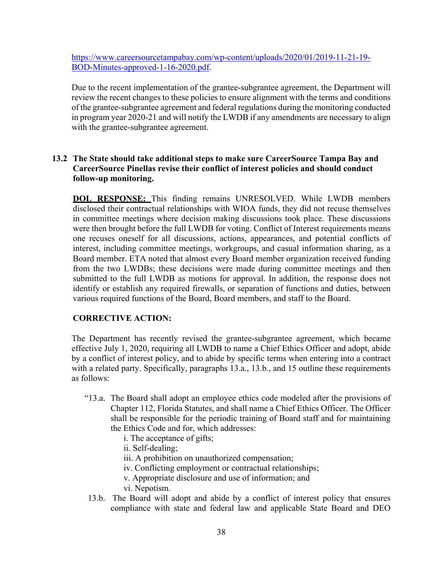https://www.careersourcetampabay.com/wp-content/uploads/2020/01/2019-11-21-19- BOD-Minutes-approved-1-16-2020.pdf.

Due to the recent implementation of the grantee-subgrantee agreement, the Department will review the recent changes to these policies to ensure alignment with the terms and conditions of the grantee-subgrantee agreement and federal regulations during the monitoring conducted in program year 2020-21 and will notify the LWDB if any amendments are necessary to align with the grantee-subgrantee agreement.

### **13.2 The State should take additional steps to make sure CareerSource Tampa Bay and CareerSource Pinellas revise their conflict of interest policies and should conduct follow-up monitoring.**

**DOL RESPONSE:** This finding remains UNRESOLVED. While LWDB members disclosed their contractual relationships with WIOA funds, they did not recuse themselves in committee meetings where decision making discussions took place. These discussions were then brought before the full LWDB for voting. Conflict of Interest requirements means one recuses oneself for all discussions, actions, appearances, and potential conflicts of interest, including committee meetings, workgroups, and casual information sharing, as a Board member. ETA noted that almost every Board member organization received funding from the two LWDBs; these decisions were made during committee meetings and then submitted to the full LWDB as motions for approval. In addition, the response does not identify or establish any required firewalls, or separation of functions and duties, between various required functions of the Board, Board members, and staff to the Board.

### **CORRECTIVE ACTION:**

The Department has recently revised the grantee-subgrantee agreement, which became effective July 1, 2020, requiring all LWDB to name a Chief Ethics Officer and adopt, abide by a conflict of interest policy, and to abide by specific terms when entering into a contract with a related party. Specifically, paragraphs 13.a., 13.b., and 15 outline these requirements as follows:

- "13.a. The Board shall adopt an employee ethics code modeled after the provisions of Chapter 112, Florida Statutes, and shall name a Chief Ethics Officer. The Officer shall be responsible for the periodic training of Board staff and for maintaining the Ethics Code and for, which addresses:
	- i. The acceptance of gifts;
	- ii. Self-dealing;
	- iii. A prohibition on unauthorized compensation;
	- iv. Conflicting employment or contractual relationships;
	- v. Appropriate disclosure and use of information; and
	- vi. Nepotism.
- 13.b. The Board will adopt and abide by a conflict of interest policy that ensures compliance with state and federal law and applicable State Board and DEO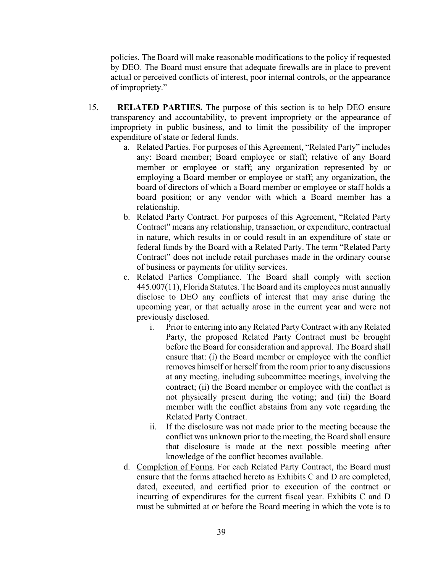policies. The Board will make reasonable modifications to the policy if requested by DEO. The Board must ensure that adequate firewalls are in place to prevent actual or perceived conflicts of interest, poor internal controls, or the appearance of impropriety."

- 15. **RELATED PARTIES.** The purpose of this section is to help DEO ensure transparency and accountability, to prevent impropriety or the appearance of impropriety in public business, and to limit the possibility of the improper expenditure of state or federal funds.
	- a. Related Parties. For purposes of this Agreement, "Related Party" includes any: Board member; Board employee or staff; relative of any Board member or employee or staff; any organization represented by or employing a Board member or employee or staff; any organization, the board of directors of which a Board member or employee or staff holds a board position; or any vendor with which a Board member has a relationship.
	- b. Related Party Contract. For purposes of this Agreement, "Related Party Contract" means any relationship, transaction, or expenditure, contractual in nature, which results in or could result in an expenditure of state or federal funds by the Board with a Related Party. The term "Related Party Contract" does not include retail purchases made in the ordinary course of business or payments for utility services.
	- c. Related Parties Compliance. The Board shall comply with section 445.007(11), Florida Statutes. The Board and its employees must annually disclose to DEO any conflicts of interest that may arise during the upcoming year, or that actually arose in the current year and were not previously disclosed.
		- i. Prior to entering into any Related Party Contract with any Related Party, the proposed Related Party Contract must be brought before the Board for consideration and approval. The Board shall ensure that: (i) the Board member or employee with the conflict removes himself or herself from the room prior to any discussions at any meeting, including subcommittee meetings, involving the contract; (ii) the Board member or employee with the conflict is not physically present during the voting; and (iii) the Board member with the conflict abstains from any vote regarding the Related Party Contract.
		- ii. If the disclosure was not made prior to the meeting because the conflict was unknown prior to the meeting, the Board shall ensure that disclosure is made at the next possible meeting after knowledge of the conflict becomes available.
	- d. Completion of Forms. For each Related Party Contract, the Board must ensure that the forms attached hereto as Exhibits C and D are completed, dated, executed, and certified prior to execution of the contract or incurring of expenditures for the current fiscal year. Exhibits C and D must be submitted at or before the Board meeting in which the vote is to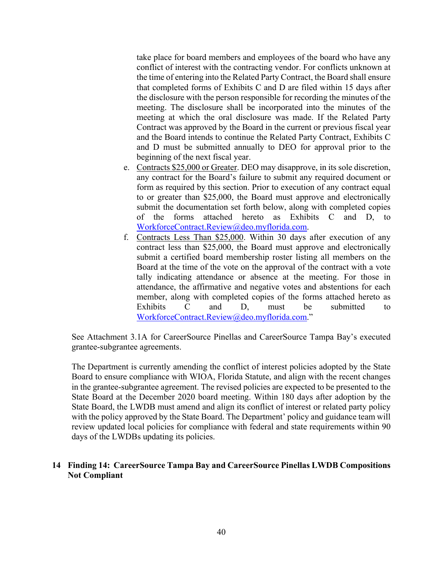take place for board members and employees of the board who have any conflict of interest with the contracting vendor. For conflicts unknown at the time of entering into the Related Party Contract, the Board shall ensure that completed forms of Exhibits C and D are filed within 15 days after the disclosure with the person responsible for recording the minutes of the meeting. The disclosure shall be incorporated into the minutes of the meeting at which the oral disclosure was made. If the Related Party Contract was approved by the Board in the current or previous fiscal year and the Board intends to continue the Related Party Contract, Exhibits C and D must be submitted annually to DEO for approval prior to the beginning of the next fiscal year.

- e. Contracts \$25,000 or Greater. DEO may disapprove, in its sole discretion, any contract for the Board's failure to submit any required document or form as required by this section. Prior to execution of any contract equal to or greater than \$25,000, the Board must approve and electronically submit the documentation set forth below, along with completed copies of the forms attached hereto as Exhibits C and D, to WorkforceContract.Review@deo.myflorida.com.
- f. Contracts Less Than \$25,000. Within 30 days after execution of any contract less than \$25,000, the Board must approve and electronically submit a certified board membership roster listing all members on the Board at the time of the vote on the approval of the contract with a vote tally indicating attendance or absence at the meeting. For those in attendance, the affirmative and negative votes and abstentions for each member, along with completed copies of the forms attached hereto as Exhibits C and D, must be submitted to WorkforceContract.Review@deo.myflorida.com."

See Attachment 3.1A for CareerSource Pinellas and CareerSource Tampa Bay's executed grantee-subgrantee agreements.

The Department is currently amending the conflict of interest policies adopted by the State Board to ensure compliance with WIOA, Florida Statute, and align with the recent changes in the grantee-subgrantee agreement. The revised policies are expected to be presented to the State Board at the December 2020 board meeting. Within 180 days after adoption by the State Board, the LWDB must amend and align its conflict of interest or related party policy with the policy approved by the State Board. The Department' policy and guidance team will review updated local policies for compliance with federal and state requirements within 90 days of the LWDBs updating its policies.

#### **14 Finding 14: CareerSource Tampa Bay and CareerSource Pinellas LWDB Compositions Not Compliant**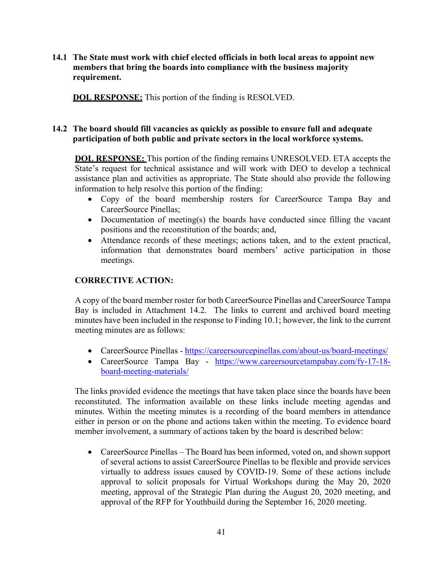**14.1 The State must work with chief elected officials in both local areas to appoint new members that bring the boards into compliance with the business majority requirement.** 

**DOL RESPONSE:** This portion of the finding is RESOLVED.

## **14.2 The board should fill vacancies as quickly as possible to ensure full and adequate participation of both public and private sectors in the local workforce systems.**

**DOL RESPONSE:** This portion of the finding remains UNRESOLVED. ETA accepts the State's request for technical assistance and will work with DEO to develop a technical assistance plan and activities as appropriate. The State should also provide the following information to help resolve this portion of the finding:

- Copy of the board membership rosters for CareerSource Tampa Bay and CareerSource Pinellas;
- Documentation of meeting(s) the boards have conducted since filling the vacant positions and the reconstitution of the boards; and,
- Attendance records of these meetings; actions taken, and to the extent practical, information that demonstrates board members' active participation in those meetings.

## **CORRECTIVE ACTION:**

A copy of the board member roster for both CareerSource Pinellas and CareerSource Tampa Bay is included in Attachment 14.2. The links to current and archived board meeting minutes have been included in the response to Finding 10.1; however, the link to the current meeting minutes are as follows:

- CareerSource Pinellas https://careersourcepinellas.com/about-us/board-meetings/
- CareerSource Tampa Bay https://www.careersourcetampabay.com/fy-17-18 board-meeting-materials/

The links provided evidence the meetings that have taken place since the boards have been reconstituted. The information available on these links include meeting agendas and minutes. Within the meeting minutes is a recording of the board members in attendance either in person or on the phone and actions taken within the meeting. To evidence board member involvement, a summary of actions taken by the board is described below:

• CareerSource Pinellas – The Board has been informed, voted on, and shown support of several actions to assist CareerSource Pinellas to be flexible and provide services virtually to address issues caused by COVID-19. Some of these actions include approval to solicit proposals for Virtual Workshops during the May 20, 2020 meeting, approval of the Strategic Plan during the August 20, 2020 meeting, and approval of the RFP for Youthbuild during the September 16, 2020 meeting.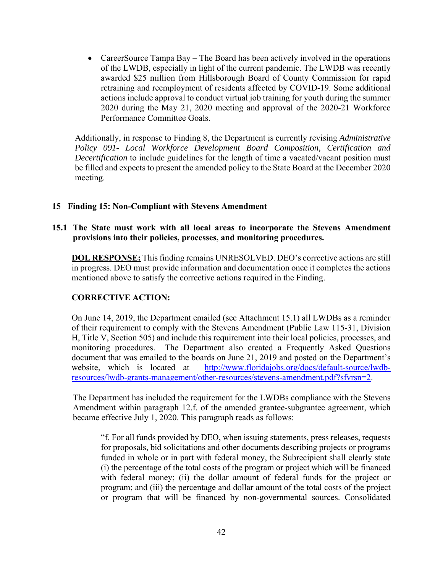• CareerSource Tampa Bay – The Board has been actively involved in the operations of the LWDB, especially in light of the current pandemic. The LWDB was recently awarded \$25 million from Hillsborough Board of County Commission for rapid retraining and reemployment of residents affected by COVID-19. Some additional actions include approval to conduct virtual job training for youth during the summer 2020 during the May 21, 2020 meeting and approval of the 2020-21 Workforce Performance Committee Goals.

Additionally, in response to Finding 8, the Department is currently revising *Administrative Policy 091- Local Workforce Development Board Composition, Certification and Decertification* to include guidelines for the length of time a vacated/vacant position must be filled and expects to present the amended policy to the State Board at the December 2020 meeting.

#### **15 Finding 15: Non-Compliant with Stevens Amendment**

#### **15.1 The State must work with all local areas to incorporate the Stevens Amendment provisions into their policies, processes, and monitoring procedures.**

**DOL RESPONSE:** This finding remains UNRESOLVED. DEO's corrective actions are still in progress. DEO must provide information and documentation once it completes the actions mentioned above to satisfy the corrective actions required in the Finding.

#### **CORRECTIVE ACTION:**

On June 14, 2019, the Department emailed (see Attachment 15.1) all LWDBs as a reminder of their requirement to comply with the Stevens Amendment (Public Law 115-31, Division H, Title V, Section 505) and include this requirement into their local policies, processes, and monitoring procedures. The Department also created a Frequently Asked Questions document that was emailed to the boards on June 21, 2019 and posted on the Department's website, which is located at http://www.floridajobs.org/docs/default-source/lwdbresources/lwdb-grants-management/other-resources/stevens-amendment.pdf?sfvrsn=2.

The Department has included the requirement for the LWDBs compliance with the Stevens Amendment within paragraph 12.f. of the amended grantee-subgrantee agreement, which became effective July 1, 2020. This paragraph reads as follows:

"f. For all funds provided by DEO, when issuing statements, press releases, requests for proposals, bid solicitations and other documents describing projects or programs funded in whole or in part with federal money, the Subrecipient shall clearly state (i) the percentage of the total costs of the program or project which will be financed with federal money; (ii) the dollar amount of federal funds for the project or program; and (iii) the percentage and dollar amount of the total costs of the project or program that will be financed by non-governmental sources. Consolidated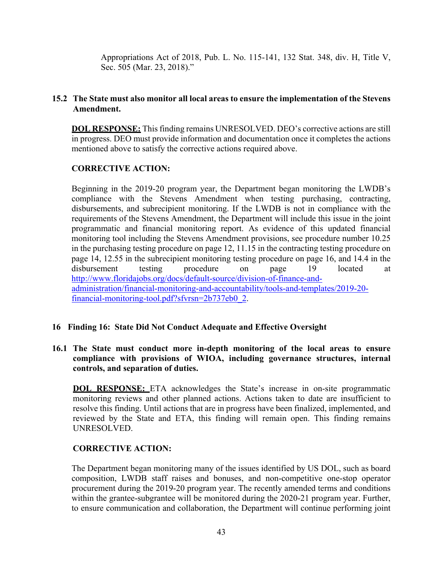Appropriations Act of 2018, Pub. L. No. 115-141, 132 Stat. 348, div. H, Title V, Sec. 505 (Mar. 23, 2018)."

### **15.2 The State must also monitor all local areas to ensure the implementation of the Stevens Amendment.**

**DOL RESPONSE:** This finding remains UNRESOLVED. DEO's corrective actions are still in progress. DEO must provide information and documentation once it completes the actions mentioned above to satisfy the corrective actions required above.

#### **CORRECTIVE ACTION:**

Beginning in the 2019-20 program year, the Department began monitoring the LWDB's compliance with the Stevens Amendment when testing purchasing, contracting, disbursements, and subrecipient monitoring. If the LWDB is not in compliance with the requirements of the Stevens Amendment, the Department will include this issue in the joint programmatic and financial monitoring report. As evidence of this updated financial monitoring tool including the Stevens Amendment provisions, see procedure number 10.25 in the purchasing testing procedure on page 12, 11.15 in the contracting testing procedure on page 14, 12.55 in the subrecipient monitoring testing procedure on page 16, and 14.4 in the disbursement testing procedure on page 19 located at http://www.floridajobs.org/docs/default-source/division-of-finance-andadministration/financial-monitoring-and-accountability/tools-and-templates/2019-20 financial-monitoring-tool.pdf?sfvrsn=2b737eb0\_2.

#### **16 Finding 16: State Did Not Conduct Adequate and Effective Oversight**

#### **16.1 The State must conduct more in-depth monitoring of the local areas to ensure compliance with provisions of WIOA, including governance structures, internal controls, and separation of duties.**

**DOL RESPONSE:** ETA acknowledges the State's increase in on-site programmatic monitoring reviews and other planned actions. Actions taken to date are insufficient to resolve this finding. Until actions that are in progress have been finalized, implemented, and reviewed by the State and ETA, this finding will remain open. This finding remains UNRESOLVED.

#### **CORRECTIVE ACTION:**

The Department began monitoring many of the issues identified by US DOL, such as board composition, LWDB staff raises and bonuses, and non-competitive one-stop operator procurement during the 2019-20 program year. The recently amended terms and conditions within the grantee-subgrantee will be monitored during the 2020-21 program year. Further, to ensure communication and collaboration, the Department will continue performing joint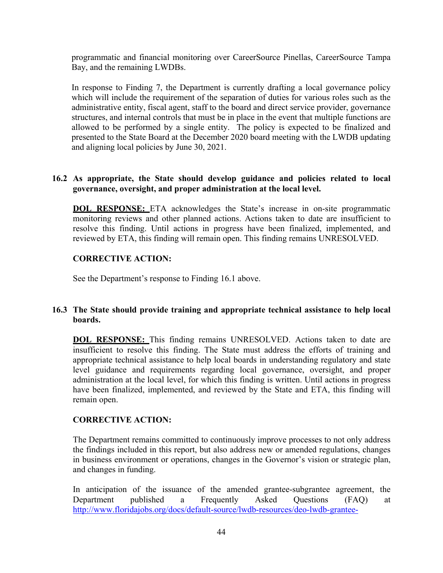programmatic and financial monitoring over CareerSource Pinellas, CareerSource Tampa Bay, and the remaining LWDBs.

In response to Finding 7, the Department is currently drafting a local governance policy which will include the requirement of the separation of duties for various roles such as the administrative entity, fiscal agent, staff to the board and direct service provider, governance structures, and internal controls that must be in place in the event that multiple functions are allowed to be performed by a single entity. The policy is expected to be finalized and presented to the State Board at the December 2020 board meeting with the LWDB updating and aligning local policies by June 30, 2021.

#### **16.2 As appropriate, the State should develop guidance and policies related to local governance, oversight, and proper administration at the local level.**

**DOL RESPONSE:** ETA acknowledges the State's increase in on-site programmatic monitoring reviews and other planned actions. Actions taken to date are insufficient to resolve this finding. Until actions in progress have been finalized, implemented, and reviewed by ETA, this finding will remain open. This finding remains UNRESOLVED.

### **CORRECTIVE ACTION:**

See the Department's response to Finding 16.1 above.

#### **16.3 The State should provide training and appropriate technical assistance to help local boards.**

**DOL RESPONSE:** This finding remains UNRESOLVED. Actions taken to date are insufficient to resolve this finding. The State must address the efforts of training and appropriate technical assistance to help local boards in understanding regulatory and state level guidance and requirements regarding local governance, oversight, and proper administration at the local level, for which this finding is written. Until actions in progress have been finalized, implemented, and reviewed by the State and ETA, this finding will remain open.

### **CORRECTIVE ACTION:**

The Department remains committed to continuously improve processes to not only address the findings included in this report, but also address new or amended regulations, changes in business environment or operations, changes in the Governor's vision or strategic plan, and changes in funding.

In anticipation of the issuance of the amended grantee-subgrantee agreement, the Department published a Frequently Asked Questions (FAQ) at http://www.floridajobs.org/docs/default-source/lwdb-resources/deo-lwdb-grantee-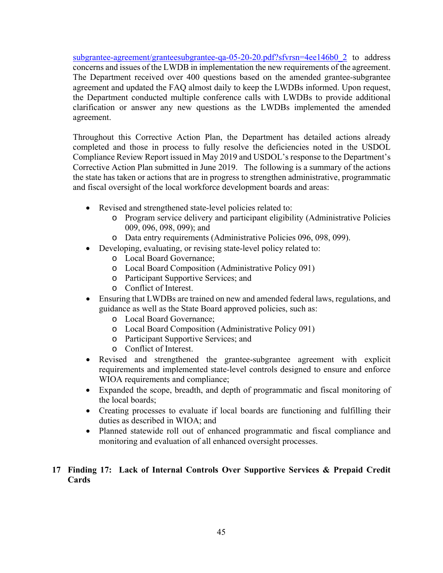subgrantee-agreement/granteesubgrantee-qa-05-20-20.pdf?sfvrsn=4ee146b0\_2 to address concerns and issues of the LWDB in implementation the new requirements of the agreement. The Department received over 400 questions based on the amended grantee-subgrantee agreement and updated the FAQ almost daily to keep the LWDBs informed. Upon request, the Department conducted multiple conference calls with LWDBs to provide additional clarification or answer any new questions as the LWDBs implemented the amended agreement.

Throughout this Corrective Action Plan, the Department has detailed actions already completed and those in process to fully resolve the deficiencies noted in the USDOL Compliance Review Report issued in May 2019 and USDOL's response to the Department's Corrective Action Plan submitted in June 2019. The following is a summary of the actions the state has taken or actions that are in progress to strengthen administrative, programmatic and fiscal oversight of the local workforce development boards and areas:

- Revised and strengthened state-level policies related to:
	- o Program service delivery and participant eligibility (Administrative Policies 009, 096, 098, 099); and
	- o Data entry requirements (Administrative Policies 096, 098, 099).
	- Developing, evaluating, or revising state-level policy related to:
		- o Local Board Governance;
		- o Local Board Composition (Administrative Policy 091)
		- o Participant Supportive Services; and
		- o Conflict of Interest.
- Ensuring that LWDBs are trained on new and amended federal laws, regulations, and guidance as well as the State Board approved policies, such as:
	- o Local Board Governance;
	- o Local Board Composition (Administrative Policy 091)
	- o Participant Supportive Services; and
	- o Conflict of Interest.
- Revised and strengthened the grantee-subgrantee agreement with explicit requirements and implemented state-level controls designed to ensure and enforce WIOA requirements and compliance;
- Expanded the scope, breadth, and depth of programmatic and fiscal monitoring of the local boards;
- Creating processes to evaluate if local boards are functioning and fulfilling their duties as described in WIOA; and
- Planned statewide roll out of enhanced programmatic and fiscal compliance and monitoring and evaluation of all enhanced oversight processes.

## **17 Finding 17: Lack of Internal Controls Over Supportive Services & Prepaid Credit Cards**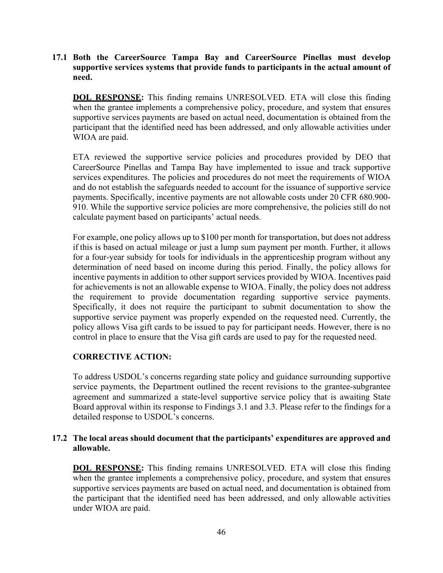**17.1 Both the CareerSource Tampa Bay and CareerSource Pinellas must develop supportive services systems that provide funds to participants in the actual amount of need.** 

**DOL RESPONSE:** This finding remains UNRESOLVED. ETA will close this finding when the grantee implements a comprehensive policy, procedure, and system that ensures supportive services payments are based on actual need, documentation is obtained from the participant that the identified need has been addressed, and only allowable activities under WIOA are paid.

ETA reviewed the supportive service policies and procedures provided by DEO that CareerSource Pinellas and Tampa Bay have implemented to issue and track supportive services expenditures. The policies and procedures do not meet the requirements of WIOA and do not establish the safeguards needed to account for the issuance of supportive service payments. Specifically, incentive payments are not allowable costs under 20 CFR 680.900- 910. While the supportive service policies are more comprehensive, the policies still do not calculate payment based on participants' actual needs.

For example, one policy allows up to \$100 per month for transportation, but does not address if this is based on actual mileage or just a lump sum payment per month. Further, it allows for a four-year subsidy for tools for individuals in the apprenticeship program without any determination of need based on income during this period. Finally, the policy allows for incentive payments in addition to other support services provided by WIOA. Incentives paid for achievements is not an allowable expense to WIOA. Finally, the policy does not address the requirement to provide documentation regarding supportive service payments. Specifically, it does not require the participant to submit documentation to show the supportive service payment was properly expended on the requested need. Currently, the policy allows Visa gift cards to be issued to pay for participant needs. However, there is no control in place to ensure that the Visa gift cards are used to pay for the requested need.

### **CORRECTIVE ACTION:**

To address USDOL's concerns regarding state policy and guidance surrounding supportive service payments, the Department outlined the recent revisions to the grantee-subgrantee agreement and summarized a state-level supportive service policy that is awaiting State Board approval within its response to Findings 3.1 and 3.3. Please refer to the findings for a detailed response to USDOL's concerns.

#### **17.2 The local areas should document that the participants' expenditures are approved and allowable.**

**DOL RESPONSE:** This finding remains UNRESOLVED. ETA will close this finding when the grantee implements a comprehensive policy, procedure, and system that ensures supportive services payments are based on actual need, and documentation is obtained from the participant that the identified need has been addressed, and only allowable activities under WIOA are paid.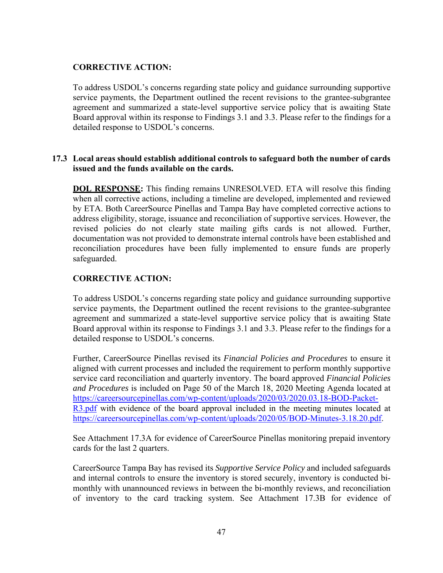## **CORRECTIVE ACTION:**

To address USDOL's concerns regarding state policy and guidance surrounding supportive service payments, the Department outlined the recent revisions to the grantee-subgrantee agreement and summarized a state-level supportive service policy that is awaiting State Board approval within its response to Findings 3.1 and 3.3. Please refer to the findings for a detailed response to USDOL's concerns.

#### **17.3 Local areas should establish additional controls to safeguard both the number of cards issued and the funds available on the cards.**

**DOL RESPONSE:** This finding remains UNRESOLVED. ETA will resolve this finding when all corrective actions, including a timeline are developed, implemented and reviewed by ETA. Both CareerSource Pinellas and Tampa Bay have completed corrective actions to address eligibility, storage, issuance and reconciliation of supportive services. However, the revised policies do not clearly state mailing gifts cards is not allowed. Further, documentation was not provided to demonstrate internal controls have been established and reconciliation procedures have been fully implemented to ensure funds are properly safeguarded.

### **CORRECTIVE ACTION:**

To address USDOL's concerns regarding state policy and guidance surrounding supportive service payments, the Department outlined the recent revisions to the grantee-subgrantee agreement and summarized a state-level supportive service policy that is awaiting State Board approval within its response to Findings 3.1 and 3.3. Please refer to the findings for a detailed response to USDOL's concerns.

Further, CareerSource Pinellas revised its *Financial Policies and Procedures* to ensure it aligned with current processes and included the requirement to perform monthly supportive service card reconciliation and quarterly inventory. The board approved *Financial Policies and Procedures* is included on Page 50 of the March 18, 2020 Meeting Agenda located at https://careersourcepinellas.com/wp-content/uploads/2020/03/2020.03.18-BOD-Packet-R3.pdf with evidence of the board approval included in the meeting minutes located at https://careersourcepinellas.com/wp-content/uploads/2020/05/BOD-Minutes-3.18.20.pdf.

See Attachment 17.3A for evidence of CareerSource Pinellas monitoring prepaid inventory cards for the last 2 quarters.

CareerSource Tampa Bay has revised its *Supportive Service Policy* and included safeguards and internal controls to ensure the inventory is stored securely, inventory is conducted bimonthly with unannounced reviews in between the bi-monthly reviews, and reconciliation of inventory to the card tracking system. See Attachment 17.3B for evidence of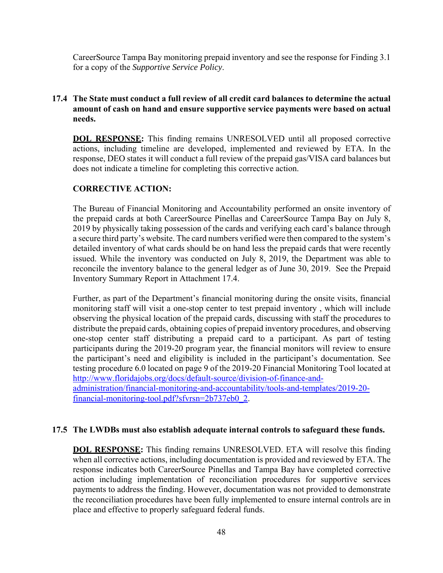CareerSource Tampa Bay monitoring prepaid inventory and see the response for Finding 3.1 for a copy of the *Supportive Service Policy*.

### **17.4 The State must conduct a full review of all credit card balances to determine the actual amount of cash on hand and ensure supportive service payments were based on actual needs.**

**DOL RESPONSE:** This finding remains UNRESOLVED until all proposed corrective actions, including timeline are developed, implemented and reviewed by ETA. In the response, DEO states it will conduct a full review of the prepaid gas/VISA card balances but does not indicate a timeline for completing this corrective action.

#### **CORRECTIVE ACTION:**

The Bureau of Financial Monitoring and Accountability performed an onsite inventory of the prepaid cards at both CareerSource Pinellas and CareerSource Tampa Bay on July 8, 2019 by physically taking possession of the cards and verifying each card's balance through a secure third party's website. The card numbers verified were then compared to the system's detailed inventory of what cards should be on hand less the prepaid cards that were recently issued. While the inventory was conducted on July 8, 2019, the Department was able to reconcile the inventory balance to the general ledger as of June 30, 2019. See the Prepaid Inventory Summary Report in Attachment 17.4.

Further, as part of the Department's financial monitoring during the onsite visits, financial monitoring staff will visit a one-stop center to test prepaid inventory , which will include observing the physical location of the prepaid cards, discussing with staff the procedures to distribute the prepaid cards, obtaining copies of prepaid inventory procedures, and observing one-stop center staff distributing a prepaid card to a participant. As part of testing participants during the 2019-20 program year, the financial monitors will review to ensure the participant's need and eligibility is included in the participant's documentation. See testing procedure 6.0 located on page 9 of the 2019-20 Financial Monitoring Tool located at http://www.floridajobs.org/docs/default-source/division-of-finance-andadministration/financial-monitoring-and-accountability/tools-and-templates/2019-20 financial-monitoring-tool.pdf?sfvrsn=2b737eb0\_2.

#### **17.5 The LWDBs must also establish adequate internal controls to safeguard these funds.**

**DOL RESPONSE:** This finding remains UNRESOLVED. ETA will resolve this finding when all corrective actions, including documentation is provided and reviewed by ETA. The response indicates both CareerSource Pinellas and Tampa Bay have completed corrective action including implementation of reconciliation procedures for supportive services payments to address the finding. However, documentation was not provided to demonstrate the reconciliation procedures have been fully implemented to ensure internal controls are in place and effective to properly safeguard federal funds.